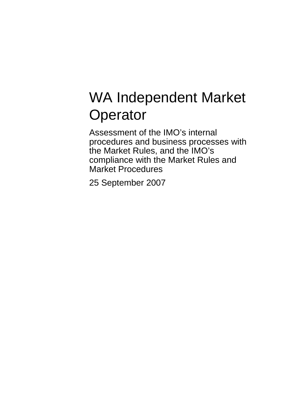# WA Independent Market **Operator**

Assessment of the IMO's internal procedures and business processes with the Market Rules, and the IMO's compliance with the Market Rules and Market Procedures

25 September 2007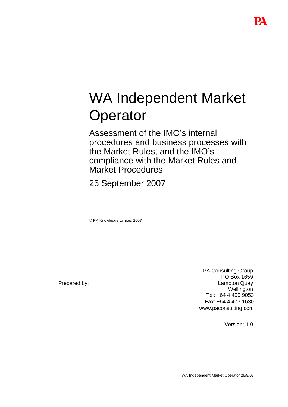# WA Independent Market **Operator**

Assessment of the IMO's internal procedures and business processes with the Market Rules, and the IMO's compliance with the Market Rules and Market Procedures

25 September 2007

© PA Knowledge Limited 2007

Prepared by:

PA Consulting Group PO Box 1659 Lambton Quay **Wellington** Tel: +64 4 499 9053 Fax: +64 4 473 1630 www.paconsulting.com

Version: 1.0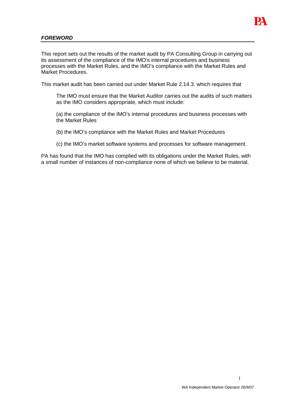

## **FOREWORD**

This report sets out the results of the market audit by PA Consulting Group in carrying out its assessment of the compliance of the IMO's internal procedures and business processes with the Market Rules, and the IMO's compliance with the Market Rules and Market Procedures.

This market audit has been carried out under Market Rule 2.14.3. which requires that

The IMO must ensure that the Market Auditor carries out the audits of such matters as the IMO considers appropriate, which must include:

(a) the compliance of the IMO's internal procedures and business processes with the Market Rules

- (b) the IMO's compliance with the Market Rules and Market Procedures
- (c) the IMO's market software systems and processes for software management.

PA has found that the IMO has complied with its obligations under the Market Rules, with a small number of instances of non-compliance none of which we believe to be material.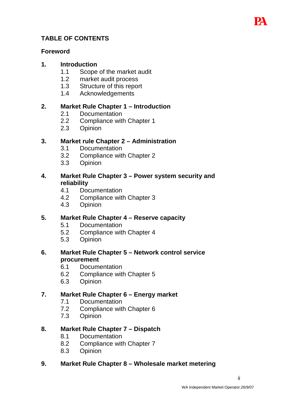# **TABLE OF CONTENTS**

# **Foreword**

# **1. Introduction**

- 1.1 Scope of the market audit
- 1.2 market audit process
- 1.3 Structure of this report
- 1.4 Acknowledgements

# **2. Market Rule Chapter 1 – Introduction**

- 2.1 Documentation
- 2.2 Compliance with Chapter 1
- 2.3 Opinion

# **3. Market rule Chapter 2 – Administration**

- 3.1 Documentation
- 3.2 Compliance with Chapter 2
- 3.3 Opinion

# **4. Market Rule Chapter 3 – Power system security and reliability**

- 4.1 Documentation
- 4.2 Compliance with Chapter 3
- 4.3 Opinion

# **5. Market Rule Chapter 4 – Reserve capacity**

- 5.1 Documentation
- 5.2 Compliance with Chapter 4
- 5.3 Opinion

# **6. Market Rule Chapter 5 – Network control service procurement**

- 6.1 Documentation
- 6.2 Compliance with Chapter 5
- 6.3 Opinion

# **7. Market Rule Chapter 6 – Energy market**

- 7.1 Documentation
- 7.2 Compliance with Chapter 6
- 7.3 Opinion

# **8. Market Rule Chapter 7 – Dispatch**

- 8.1 Documentation
- 8.2 Compliance with Chapter 7
- 8.3 Opinion

# **9. Market Rule Chapter 8 – Wholesale market metering**

ii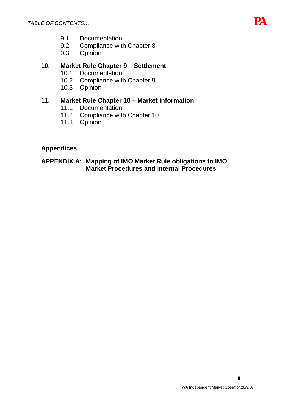

- 9.1 Documentation
- 9.2 Compliance with Chapter 8
- 9.3 Opinion

# **10. Market Rule Chapter 9 – Settlement**

- 10.1 Documentation
- 10.2 Compliance with Chapter 9
- 10.3 Opinion

# **11. Market Rule Chapter 10 – Market information**

- 11.1 Documentation
- 11.2 Compliance with Chapter 10
- 11.3 Opinion

# **Appendices**

# **APPENDIX A: Mapping of IMO Market Rule obligations to IMO Market Procedures and Internal Procedures**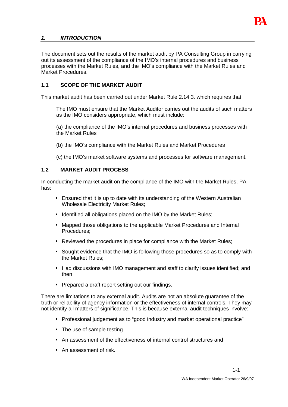

## **1. INTRODUCTION**

The document sets out the results of the market audit by PA Consulting Group in carrying out its assessment of the compliance of the IMO's internal procedures and business processes with the Market Rules, and the IMO's compliance with the Market Rules and Market Procedures.

# **1.1 SCOPE OF THE MARKET AUDIT**

This market audit has been carried out under Market Rule 2.14.3. which requires that

- The IMO must ensure that the Market Auditor carries out the audits of such matters as the IMO considers appropriate, which must include:
- (a) the compliance of the IMO's internal procedures and business processes with the Market Rules
- (b) the IMO's compliance with the Market Rules and Market Procedures
- (c) the IMO's market software systems and processes for software management.

#### **1.2 MARKET AUDIT PROCESS**

In conducting the market audit on the compliance of the IMO with the Market Rules, PA has:

- Ensured that it is up to date with its understanding of the Western Australian Wholesale Electricity Market Rules;
- Identified all obligations placed on the IMO by the Market Rules;
- Mapped those obligations to the applicable Market Procedures and Internal Procedures;
- Reviewed the procedures in place for compliance with the Market Rules:
- Sought evidence that the IMO is following those procedures so as to comply with the Market Rules;
- Had discussions with IMO management and staff to clarify issues identified; and then
- Prepared a draft report setting out our findings.

There are limitations to any external audit. Audits are not an absolute guarantee of the truth or reliability of agency information or the effectiveness of internal controls. They may not identify all matters of significance. This is because external audit techniques involve:

- Professional judgement as to "good industry and market operational practice"
- The use of sample testing
- An assessment of the effectiveness of internal control structures and
- An assessment of risk.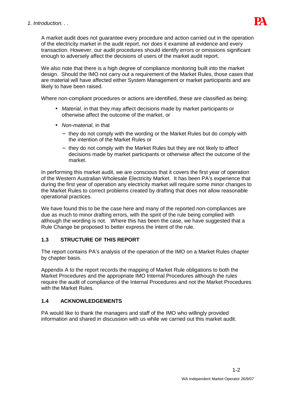

A market audit does not guarantee every procedure and action carried out in the operation of the electricity market in the audit report, nor does it examine all evidence and every transaction. However, our audit procedures should identify errors or omissions significant enough to adversely affect the decisions of users of the market audit report.

We also note that there is a high degree of compliance monitoring built into the market design. Should the IMO not carry out a requirement of the Market Rules, those cases that are material will have affected either System Management or market participants and are likely to have been raised.

Where non-compliant procedures or actions are identified, these are classified as being:

- Material, in that they may affect decisions made by market participants or otherwise affect the outcome of the market, or
- Non-material, in that
	- − they do not comply with the wording or the Market Rules but do comply with the intention of the Market Rules or
	- − they do not comply with the Market Rules but they are not likely to affect decisions made by market participants or otherwise affect the outcome of the market.

In performing this market audit, we are conscious that it covers the first year of operation of the Western Australian Wholesale Electricity Market. It has been PA's experience that during the first year of operation any electricity market will require some minor changes to the Market Rules to correct problems created by drafting that does not allow reasonable operational practices.

We have found this to be the case here and many of the reported non-compliances are due as much to minor drafting errors, with the spirit of the rule being complied with although the wording is not. Where this has been the case, we have suggested that a Rule Change be proposed to better express the intent of the rule.

# **1.3 STRUCTURE OF THIS REPORT**

The report contains PA's analysis of the operation of the IMO on a Market Rules chapter by chapter basis.

Appendix A to the report records the mapping of Market Rule obligations to both the Market Procedures and the appropriate IMO Internal Procedures although the rules require the audit of compliance of the Internal Procedures and not the Market Procedures with the Market Rules.

# **1.4 ACKNOWLEDGEMENTS**

PA would like to thank the managers and staff of the IMO who willingly provided information and shared in discussion with us while we carried out this market audit.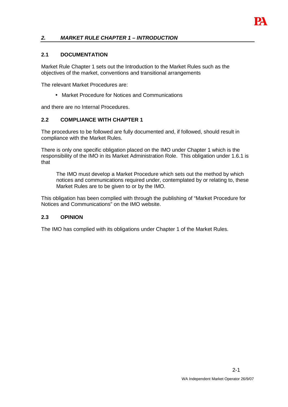

## **2. MARKET RULE CHAPTER 1 – INTRODUCTION**

#### **2.1 DOCUMENTATION**

Market Rule Chapter 1 sets out the Introduction to the Market Rules such as the objectives of the market, conventions and transitional arrangements

The relevant Market Procedures are:

• Market Procedure for Notices and Communications

and there are no Internal Procedures.

#### **2.2 COMPLIANCE WITH CHAPTER 1**

The procedures to be followed are fully documented and, if followed, should result in compliance with the Market Rules.

There is only one specific obligation placed on the IMO under Chapter 1 which is the responsibility of the IMO in its Market Administration Role. This obligation under 1.6.1 is that

The IMO must develop a Market Procedure which sets out the method by which notices and communications required under, contemplated by or relating to, these Market Rules are to be given to or by the IMO.

This obligation has been complied with through the publishing of "Market Procedure for Notices and Communications" on the IMO website.

#### **2.3 OPINION**

The IMO has complied with its obligations under Chapter 1 of the Market Rules.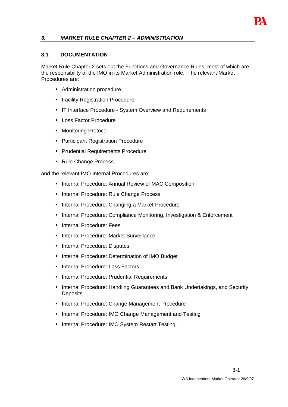

## **3. MARKET RULE CHAPTER 2 – ADMINISTRATION**

#### **3.1 DOCUMENTATION**

Market Rule Chapter 2 sets out the Functions and Governance Rules, most of which are the responsibility of the IMO in its Market Administration role. The relevant Market Procedures are:

- Administration procedure
- Facility Registration Procedure
- IT Interface Procedure System Overview and Requirements
- Loss Factor Procedure
- Monitoring Protocol
- Participant Registration Procedure
- Prudential Requirements Procedure
- Rule Change Process

and the relevant IMO Internal Procedures are:

- Internal Procedure: Annual Review of MAC Composition
- Internal Procedure: Rule Change Process
- Internal Procedure: Changing a Market Procedure
- Internal Procedure: Compliance Monitoring, Investigation & Enforcement
- Internal Procedure: Fees
- Internal Procedure: Market Surveillance
- Internal Procedure: Disputes
- Internal Procedure: Determination of IMO Budget
- Internal Procedure: Loss Factors
- Internal Procedure: Prudential Requirements
- Internal Procedure: Handling Guarantees and Bank Undertakings, and Security **Deposits**
- Internal Procedure: Change Management Procedure
- Internal Procedure: IMO Change Management and Testing
- Internal Procedure: IMO System Restart Testing.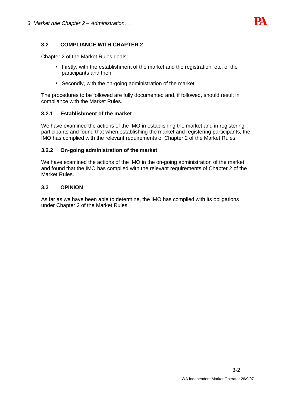

## **3.2 COMPLIANCE WITH CHAPTER 2**

Chapter 2 of the Market Rules deals:

- Firstly, with the establishment of the market and the registration, etc. of the participants and then
- Secondly, with the on-going administration of the market.

The procedures to be followed are fully documented and, if followed, should result in compliance with the Market Rules.

#### **3.2.1 Establishment of the market**

We have examined the actions of the IMO in establishing the market and in registering participants and found that when establishing the market and registering participants, the IMO has complied with the relevant requirements of Chapter 2 of the Market Rules.

#### **3.2.2 On-going administration of the market**

We have examined the actions of the IMO in the on-going administration of the market and found that the IMO has complied with the relevant requirements of Chapter 2 of the Market Rules.

#### **3.3 OPINION**

As far as we have been able to determine, the IMO has complied with its obligations under Chapter 2 of the Market Rules.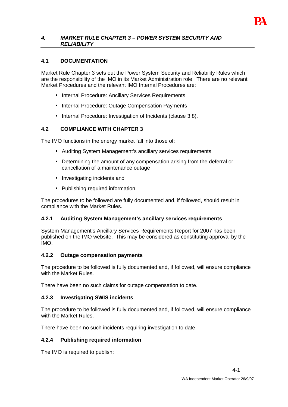

### **4. MARKET RULE CHAPTER 3 – POWER SYSTEM SECURITY AND RELIABILITY**

## **4.1 DOCUMENTATION**

Market Rule Chapter 3 sets out the Power System Security and Reliability Rules which are the responsibility of the IMO in its Market Administration role. There are no relevant Market Procedures and the relevant IMO Internal Procedures are:

- Internal Procedure: Ancillary Services Requirements
- Internal Procedure: Outage Compensation Payments
- Internal Procedure: Investigation of Incidents (clause 3.8).

## **4.2 COMPLIANCE WITH CHAPTER 3**

The IMO functions in the energy market fall into those of:

- Auditing System Management's ancillary services requirements
- Determining the amount of any compensation arising from the deferral or cancellation of a maintenance outage
- Investigating incidents and
- Publishing required information.

The procedures to be followed are fully documented and, if followed, should result in compliance with the Market Rules.

### **4.2.1 Auditing System Management's ancillary services requirements**

System Management's Ancillary Services Requirements Report for 2007 has been published on the IMO website. This may be considered as constituting approval by the IMO.

### **4.2.2 Outage compensation payments**

The procedure to be followed is fully documented and, if followed, will ensure compliance with the Market Rules.

There have been no such claims for outage compensation to date.

### **4.2.3 Investigating SWIS incidents**

The procedure to be followed is fully documented and, if followed, will ensure compliance with the Market Rules

There have been no such incidents requiring investigation to date.

### **4.2.4 Publishing required information**

The IMO is required to publish: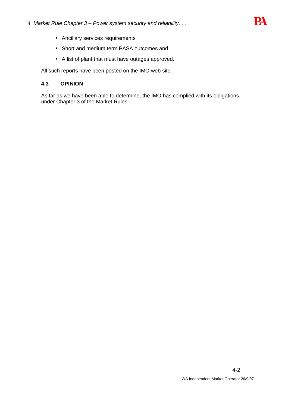

- Ancillary services requirements
- Short and medium term PASA outcomes and
- A list of plant that must have outages approved.

All such reports have been posted on the IMO web site.

## **4.3 OPINION**

As far as we have been able to determine, the IMO has complied with its obligations under Chapter 3 of the Market Rules.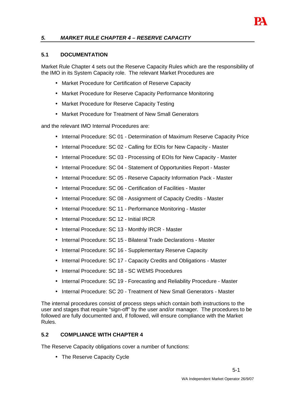

# **5. MARKET RULE CHAPTER 4 – RESERVE CAPACITY**

#### **5.1 DOCUMENTATION**

Market Rule Chapter 4 sets out the Reserve Capacity Rules which are the responsibility of the IMO in its System Capacity role. The relevant Market Procedures are

- Market Procedure for Certification of Reserve Capacity
- Market Procedure for Reserve Capacity Performance Monitoring
- Market Procedure for Reserve Capacity Testing
- Market Procedure for Treatment of New Small Generators

and the relevant IMO Internal Procedures are:

- Internal Procedure: SC 01 Determination of Maximum Reserve Capacity Price
- Internal Procedure: SC 02 Calling for EOIs for New Capacity Master
- Internal Procedure: SC 03 Processing of EOIs for New Capacity Master
- Internal Procedure: SC 04 Statement of Opportunities Report Master
- Internal Procedure: SC 05 Reserve Capacity Information Pack Master
- Internal Procedure: SC 06 Certification of Facilities Master
- Internal Procedure: SC 08 Assignment of Capacity Credits Master
- Internal Procedure: SC 11 Performance Monitoring Master
- Internal Procedure: SC 12 Initial IRCR
- Internal Procedure: SC 13 Monthly IRCR Master
- Internal Procedure: SC 15 Bilateral Trade Declarations Master
- Internal Procedure: SC 16 Supplementary Reserve Capacity
- Internal Procedure: SC 17 Capacity Credits and Obligations Master
- Internal Procedure: SC 18 SC WEMS Procedures
- Internal Procedure: SC 19 Forecasting and Reliability Procedure Master
- Internal Procedure: SC 20 Treatment of New Small Generators Master

The internal procedures consist of process steps which contain both instructions to the user and stages that require "sign-off" by the user and/or manager. The procedures to be followed are fully documented and, if followed, will ensure compliance with the Market Rules.

#### **5.2 COMPLIANCE WITH CHAPTER 4**

The Reserve Capacity obligations cover a number of functions:

• The Reserve Capacity Cycle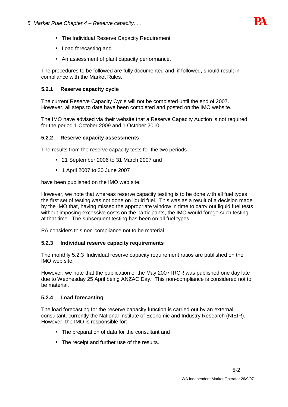

- The Individual Reserve Capacity Requirement
- Load forecasting and
- An assessment of plant capacity performance.

The procedures to be followed are fully documented and, if followed, should result in compliance with the Market Rules.

# **5.2.1 Reserve capacity cycle**

The current Reserve Capacity Cycle will not be completed until the end of 2007. However, all steps to date have been completed and posted on the IMO website.

The IMO have advised via their website that a Reserve Capacity Auction is not required for the period 1 October 2009 and 1 October 2010.

#### **5.2.2 Reserve capacity assessments**

The results from the reserve capacity tests for the two periods

- 21 September 2006 to 31 March 2007 and
- 1 April 2007 to 30 June 2007

have been published on the IMO web site.

However, we note that whereas reserve capacity testing is to be done with all fuel types the first set of testing was not done on liquid fuel. This was as a result of a decision made by the IMO that, having missed the appropriate window in time to carry out liquid fuel tests without imposing excessive costs on the participants, the IMO would forego such testing at that time. The subsequent testing has been on all fuel types.

PA considers this non-compliance not to be material.

### **5.2.3 Individual reserve capacity requirements**

The monthly 5.2.3 Individual reserve capacity requirement ratios are published on the IMO web site.

However, we note that the publication of the May 2007 IRCR was published one day late due to Wednesday 25 April being ANZAC Day. This non-compliance is considered not to be material.

### **5.2.4 Load forecasting**

The load forecasting for the reserve capacity function is carried out by an external consultant; currently the National Institute of Economic and Industry Research (NIEIR). However, the IMO is responsible for:

- The preparation of data for the consultant and
- The receipt and further use of the results.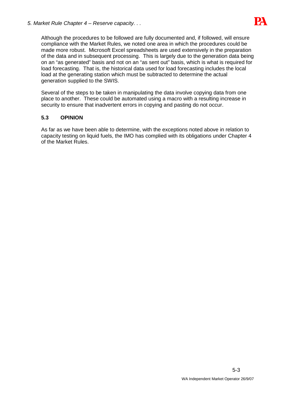

Although the procedures to be followed are fully documented and, if followed, will ensure compliance with the Market Rules, we noted one area in which the procedures could be made more robust. Microsoft Excel spreadsheets are used extensively in the preparation of the data and in subsequent processing. This is largely due to the generation data being on an "as generated" basis and not on an "as sent out" basis, which is what is required for load forecasting. That is, the historical data used for load forecasting includes the local load at the generating station which must be subtracted to determine the actual generation supplied to the SWIS.

Several of the steps to be taken in manipulating the data involve copying data from one place to another. These could be automated using a macro with a resulting increase in security to ensure that inadvertent errors in copying and pasting do not occur.

## **5.3 OPINION**

As far as we have been able to determine, with the exceptions noted above in relation to capacity testing on liquid fuels, the IMO has complied with its obligations under Chapter 4 of the Market Rules.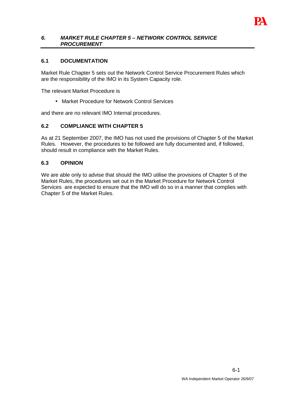

#### **6. MARKET RULE CHAPTER 5 – NETWORK CONTROL SERVICE PROCUREMENT**

#### **6.1 DOCUMENTATION**

Market Rule Chapter 5 sets out the Network Control Service Procurement Rules which are the responsibility of the IMO in its System Capacity role.

The relevant Market Procedure is

• Market Procedure for Network Control Services

and there are no relevant IMO Internal procedures.

### **6.2 COMPLIANCE WITH CHAPTER 5**

As at 21 September 2007, the IMO has not used the provisions of Chapter 5 of the Market Rules. However, the procedures to be followed are fully documented and, if followed, should result in compliance with the Market Rules.

#### **6.3 OPINION**

We are able only to advise that should the IMO utilise the provisions of Chapter 5 of the Market Rules, the procedures set out in the Market Procedure for Network Control Services are expected to ensure that the IMO will do so in a manner that complies with Chapter 5 of the Market Rules.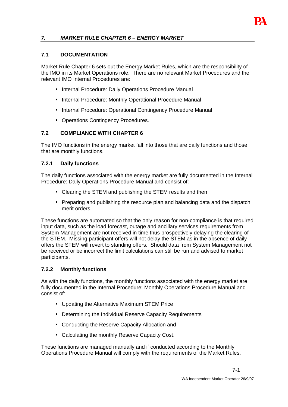

# **7. MARKET RULE CHAPTER 6 – ENERGY MARKET**

#### **7.1 DOCUMENTATION**

Market Rule Chapter 6 sets out the Energy Market Rules, which are the responsibility of the IMO in its Market Operations role. There are no relevant Market Procedures and the relevant IMO Internal Procedures are:

- Internal Procedure: Daily Operations Procedure Manual
- Internal Procedure: Monthly Operational Procedure Manual
- Internal Procedure: Operational Contingency Procedure Manual
- Operations Contingency Procedures.

#### **7.2 COMPLIANCE WITH CHAPTER 6**

The IMO functions in the energy market fall into those that are daily functions and those that are monthly functions.

#### **7.2.1 Daily functions**

The daily functions associated with the energy market are fully documented in the Internal Procedure: Daily Operations Procedure Manual and consist of:

- Clearing the STEM and publishing the STEM results and then
- Preparing and publishing the resource plan and balancing data and the dispatch merit orders.

These functions are automated so that the only reason for non-compliance is that required input data, such as the load forecast, outage and ancillary services requirements from System Management are not received in time thus prospectively delaying the clearing of the STEM. Missing participant offers will not delay the STEM as in the absence of daily offers the STEM will revert to standing offers. Should data from System Management not be received or be incorrect the limit calculations can still be run and advised to market participants.

#### **7.2.2 Monthly functions**

As with the daily functions, the monthly functions associated with the energy market are fully documented in the Internal Procedure: Monthly Operations Procedure Manual and consist of:

- Updating the Alternative Maximum STEM Price
- Determining the Individual Reserve Capacity Requirements
- Conducting the Reserve Capacity Allocation and
- Calculating the monthly Reserve Capacity Cost.

These functions are managed manually and if conducted according to the Monthly Operations Procedure Manual will comply with the requirements of the Market Rules.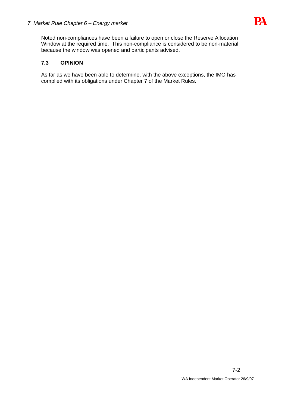

Noted non-compliances have been a failure to open or close the Reserve Allocation Window at the required time. This non-compliance is considered to be non-material because the window was opened and participants advised.

# **7.3 OPINION**

As far as we have been able to determine, with the above exceptions, the IMO has complied with its obligations under Chapter 7 of the Market Rules.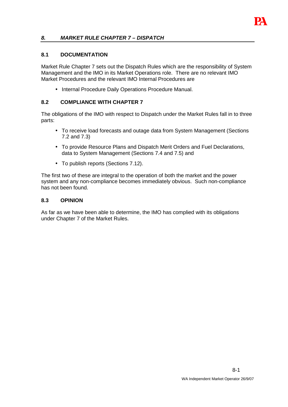

## **8. MARKET RULE CHAPTER 7 – DISPATCH**

#### **8.1 DOCUMENTATION**

Market Rule Chapter 7 sets out the Dispatch Rules which are the responsibility of System Management and the IMO in its Market Operations role. There are no relevant IMO Market Procedures and the relevant IMO Internal Procedures are

• Internal Procedure Daily Operations Procedure Manual.

#### **8.2 COMPLIANCE WITH CHAPTER 7**

The obligations of the IMO with respect to Dispatch under the Market Rules fall in to three parts:

- To receive load forecasts and outage data from System Management (Sections 7.2 and 7.3)
- To provide Resource Plans and Dispatch Merit Orders and Fuel Declarations, data to System Management (Sections 7.4 and 7.5) and
- To publish reports (Sections 7.12).

The first two of these are integral to the operation of both the market and the power system and any non-compliance becomes immediately obvious. Such non-compliance has not been found.

#### **8.3 OPINION**

As far as we have been able to determine, the IMO has complied with its obligations under Chapter 7 of the Market Rules.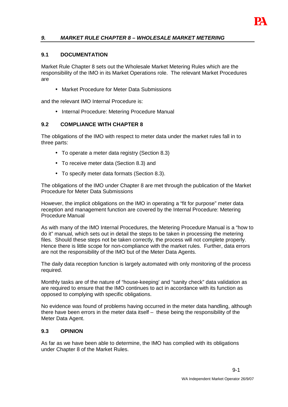

## **9. MARKET RULE CHAPTER 8 – WHOLESALE MARKET METERING**

#### **9.1 DOCUMENTATION**

Market Rule Chapter 8 sets out the Wholesale Market Metering Rules which are the responsibility of the IMO in its Market Operations role. The relevant Market Procedures are

• Market Procedure for Meter Data Submissions

and the relevant IMO Internal Procedure is:

• Internal Procedure: Metering Procedure Manual

#### **9.2 COMPLIANCE WITH CHAPTER 8**

The obligations of the IMO with respect to meter data under the market rules fall in to three parts:

- To operate a meter data registry (Section 8.3)
- To receive meter data (Section 8.3) and
- To specify meter data formats (Section 8.3).

The obligations of the IMO under Chapter 8 are met through the publication of the Market Procedure for Meter Data Submissions

However, the implicit obligations on the IMO in operating a "fit for purpose" meter data reception and management function are covered by the Internal Procedure: Metering Procedure Manual

As with many of the IMO Internal Procedures, the Metering Procedure Manual is a "how to do it" manual, which sets out in detail the steps to be taken in processing the metering files. Should these steps not be taken correctly, the process will not complete properly. Hence there is little scope for non-compliance with the market rules. Further, data errors are not the responsibility of the IMO but of the Meter Data Agents.

The daily data reception function is largely automated with only monitoring of the process required.

Monthly tasks are of the nature of "house-keeping' and "sanity check" data validation as are required to ensure that the IMO continues to act in accordance with its function as opposed to complying with specific obligations.

No evidence was found of problems having occurred in the meter data handling, although there have been errors in the meter data itself – these being the responsibility of the Meter Data Agent.

### **9.3 OPINION**

As far as we have been able to determine, the IMO has complied with its obligations under Chapter 8 of the Market Rules.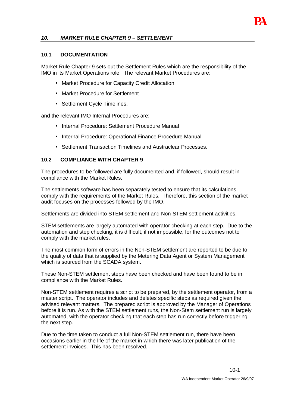

#### **10. MARKET RULE CHAPTER 9 – SETTLEMENT**

#### **10.1 DOCUMENTATION**

Market Rule Chapter 9 sets out the Settlement Rules which are the responsibility of the IMO in its Market Operations role. The relevant Market Procedures are:

- Market Procedure for Capacity Credit Allocation
- Market Procedure for Settlement
- Settlement Cycle Timelines.

and the relevant IMO Internal Procedures are:

- Internal Procedure: Settlement Procedure Manual
- Internal Procedure: Operational Finance Procedure Manual
- Settlement Transaction Timelines and Austraclear Processes.

#### **10.2 COMPLIANCE WITH CHAPTER 9**

The procedures to be followed are fully documented and, if followed, should result in compliance with the Market Rules.

The settlements software has been separately tested to ensure that its calculations comply with the requirements of the Market Rules. Therefore, this section of the market audit focuses on the processes followed by the IMO.

Settlements are divided into STEM settlement and Non-STEM settlement activities.

STEM settlements are largely automated with operator checking at each step. Due to the automation and step checking, it is difficult, if not impossible, for the outcomes not to comply with the market rules.

The most common form of errors in the Non-STEM settlement are reported to be due to the quality of data that is supplied by the Metering Data Agent or System Management which is sourced from the SCADA system.

These Non-STEM settlement steps have been checked and have been found to be in compliance with the Market Rules.

Non-STEM settlement requires a script to be prepared, by the settlement operator, from a master script. The operator includes and deletes specific steps as required given the advised relevant matters. The prepared script is approved by the Manager of Operations before it is run. As with the STEM settlement runs, the Non-Stem settlement run is largely automated, with the operator checking that each step has run correctly before triggering the next step.

Due to the time taken to conduct a full Non-STEM settlement run, there have been occasions earlier in the life of the market in which there was later publication of the settlement invoices. This has been resolved.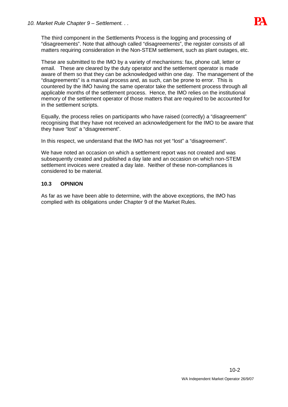

The third component in the Settlements Process is the logging and processing of "disagreements". Note that although called "disagreements", the register consists of all matters requiring consideration in the Non-STEM settlement, such as plant outages, etc.

These are submitted to the IMO by a variety of mechanisms: fax, phone call, letter or email. These are cleared by the duty operator and the settlement operator is made aware of them so that they can be acknowledged within one day. The management of the "disagreements" is a manual process and, as such, can be prone to error. This is countered by the IMO having the same operator take the settlement process through all applicable months of the settlement process. Hence, the IMO relies on the institutional memory of the settlement operator of those matters that are required to be accounted for in the settlement scripts.

Equally, the process relies on participants who have raised (correctly) a "disagreement" recognising that they have not received an acknowledgement for the IMO to be aware that they have "lost" a "disagreement".

In this respect, we understand that the IMO has not yet "lost" a "disagreement".

We have noted an occasion on which a settlement report was not created and was subsequently created and published a day late and an occasion on which non-STEM settlement invoices were created a day late. Neither of these non-compliances is considered to be material.

### **10.3 OPINION**

As far as we have been able to determine, with the above exceptions, the IMO has complied with its obligations under Chapter 9 of the Market Rules.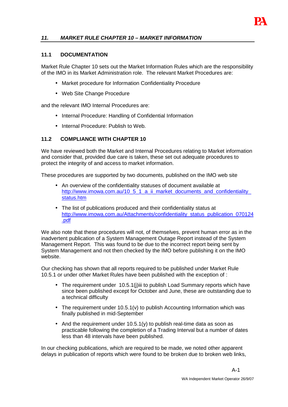

# **11. MARKET RULE CHAPTER 10 – MARKET INFORMATION**

#### **11.1 DOCUMENTATION**

Market Rule Chapter 10 sets out the Market Information Rules which are the responsibility of the IMO in its Market Administration role. The relevant Market Procedures are:

- Market procedure for Information Confidentiality Procedure
- Web Site Change Procedure

and the relevant IMO Internal Procedures are:

- Internal Procedure: Handling of Confidential Information
- Internal Procedure: Publish to Web.

#### **11.2 COMPLIANCE WITH CHAPTER 10**

We have reviewed both the Market and Internal Procedures relating to Market information and consider that, provided due care is taken, these set out adequate procedures to protect the integrity of and access to market information.

These procedures are supported by two documents, published on the IMO web site

- An overview of the confidentiality statuses of document available at http://www.imowa.com.au/10\_5\_1\_a\_ii\_market\_documents\_and\_confidentiality\_ status.htm
- The list of publications produced and their confidentiality status at http://www.imowa.com.au/Attachments/confidentiality\_status\_publication\_070124 .pdf

We also note that these procedures will not, of themselves, prevent human error as in the inadvertent publication of a System Management Outage Report instead of the System Management Report. This was found to be due to the incorrect report being sent by System Management and not then checked by the IMO before publishing it on the IMO website.

Our checking has shown that all reports required to be published under Market Rule 10.5.1 or under other Market Rules have been published with the exception of :

- The requirement under 10.5.1(i)iii to publish Load Summary reports which have since been published except for October and June, these are outstanding due to a technical difficulty
- The requirement under 10.5.1(v) to publish Accounting Information which was finally published in mid-September
- And the requirement under 10.5.1(y) to publish real-time data as soon as practicable following the completion of a Trading Interval but a number of dates less than 48 intervals have been published.

In our checking publications, which are required to be made, we noted other apparent delays in publication of reports which were found to be broken due to broken web links,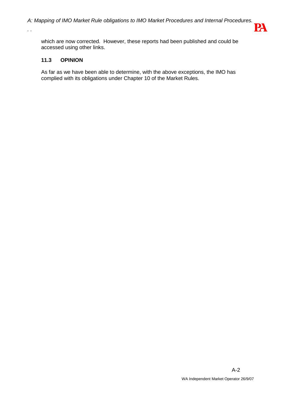

which are now corrected. However, these reports had been published and could be accessed using other links.

## **11.3 OPINION**

. .

As far as we have been able to determine, with the above exceptions, the IMO has complied with its obligations under Chapter 10 of the Market Rules.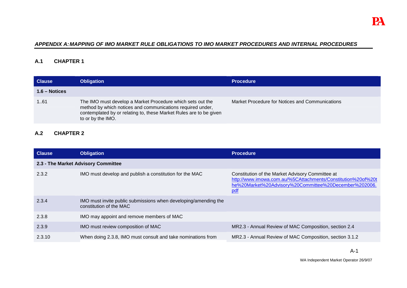## **APPENDIX A: MAPPING OF IMO MARKET RULE OBLIGATIONS TO IMO MARKET PROCEDURES AND INTERNAL PROCEDURES**

# **A.1 CHAPTER 1**

| <b>Clause</b>  | <b>Obligation</b>                                                                                                                                                                                                   | <b>Procedure</b>                                |
|----------------|---------------------------------------------------------------------------------------------------------------------------------------------------------------------------------------------------------------------|-------------------------------------------------|
| $1.6 - Notice$ |                                                                                                                                                                                                                     |                                                 |
| 161            | The IMO must develop a Market Procedure which sets out the<br>method by which notices and communications required under,<br>contemplated by or relating to, these Market Rules are to be given<br>to or by the IMO. | Market Procedure for Notices and Communications |

# **A.2 CHAPTER 2**

| <b>Clause</b>                       | <b>Obligation</b>                                                                          | <b>Procedure</b>                                                                                                                                                                 |
|-------------------------------------|--------------------------------------------------------------------------------------------|----------------------------------------------------------------------------------------------------------------------------------------------------------------------------------|
| 2.3 - The Market Advisory Committee |                                                                                            |                                                                                                                                                                                  |
| 2.3.2                               | IMO must develop and publish a constitution for the MAC                                    | Constitution of the Market Advisory Committee at<br>http://www.imowa.com.au/%5CAttachments/Constitution%20of%20t<br>he%20Market%20Advisory%20Committee%20December%202006.<br>pdf |
| 2.3.4                               | IMO must invite public submissions when developing/amending the<br>constitution of the MAC |                                                                                                                                                                                  |
| 2.3.8                               | IMO may appoint and remove members of MAC                                                  |                                                                                                                                                                                  |
| 2.3.9                               | IMO must review composition of MAC                                                         | MR2.3 - Annual Review of MAC Composition, section 2.4                                                                                                                            |
| 2.3.10                              | When doing 2.3.8, IMO must consult and take nominations from                               | MR2.3 - Annual Review of MAC Composition, section 3.1.2                                                                                                                          |

WA Independent Market Operator 26/9/07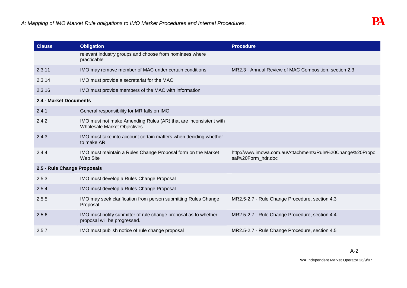| <b>Clause</b>               | <b>Obligation</b>                                                                                      | <b>Procedure</b>                                                                |
|-----------------------------|--------------------------------------------------------------------------------------------------------|---------------------------------------------------------------------------------|
|                             | relevant industry groups and choose from nominees where<br>practicable                                 |                                                                                 |
| 2.3.11                      | IMO may remove member of MAC under certain conditions                                                  | MR2.3 - Annual Review of MAC Composition, section 2.3                           |
| 2.3.14                      | IMO must provide a secretariat for the MAC                                                             |                                                                                 |
| 2.3.16                      | IMO must provide members of the MAC with information                                                   |                                                                                 |
| 2.4 - Market Documents      |                                                                                                        |                                                                                 |
| 2.4.1                       | General responsibility for MR falls on IMO                                                             |                                                                                 |
| 2.4.2                       | IMO must not make Amending Rules (AR) that are inconsistent with<br><b>Wholesale Market Objectives</b> |                                                                                 |
| 2.4.3                       | IMO must take into account certain matters when deciding whether<br>to make AR                         |                                                                                 |
| 2.4.4                       | IMO must maintain a Rules Change Proposal form on the Market<br>Web Site                               | http://www.imowa.com.au/Attachments/Rule%20Change%20Propo<br>sal%20Form_hdr.doc |
| 2.5 - Rule Change Proposals |                                                                                                        |                                                                                 |
| 2.5.3                       | IMO must develop a Rules Change Proposal                                                               |                                                                                 |
| 2.5.4                       | IMO must develop a Rules Change Proposal                                                               |                                                                                 |
| 2.5.5                       | IMO may seek clarification from person submitting Rules Change<br>Proposal                             | MR2.5-2.7 - Rule Change Procedure, section 4.3                                  |
| 2.5.6                       | IMO must notify submitter of rule change proposal as to whether<br>proposal will be progressed.        | MR2.5-2.7 - Rule Change Procedure, section 4.4                                  |
| 2.5.7                       | IMO must publish notice of rule change proposal                                                        | MR2.5-2.7 - Rule Change Procedure, section 4.5                                  |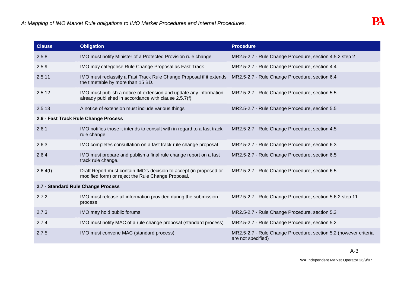| <b>Clause</b> | <b>Obligation</b>                                                                                                         | <b>Procedure</b>                                                                       |
|---------------|---------------------------------------------------------------------------------------------------------------------------|----------------------------------------------------------------------------------------|
| 2.5.8         | IMO must notify Minister of a Protected Provision rule change                                                             | MR2.5-2.7 - Rule Change Procedure, section 4.5.2 step 2                                |
| 2.5.9         | IMO may categorise Rule Change Proposal as Fast Track                                                                     | MR2.5-2.7 - Rule Change Procedure, section 4.4                                         |
| 2.5.11        | IMO must reclassify a Fast Track Rule Change Proposal if it extends<br>the timetable by more than 15 BD.                  | MR2.5-2.7 - Rule Change Procedure, section 6.4                                         |
| 2.5.12        | IMO must publish a notice of extension and update any information<br>already published in accordance with clause 2.5.7(f) | MR2.5-2.7 - Rule Change Procedure, section 5.5                                         |
| 2.5.13        | A notice of extension must include various things                                                                         | MR2.5-2.7 - Rule Change Procedure, section 5.5                                         |
|               | 2.6 - Fast Track Rule Change Process                                                                                      |                                                                                        |
| 2.6.1         | IMO notifies those it intends to consult with in regard to a fast track<br>rule change                                    | MR2.5-2.7 - Rule Change Procedure, section 4.5                                         |
| 2.6.3.        | IMO completes consultation on a fast track rule change proposal                                                           | MR2.5-2.7 - Rule Change Procedure, section 6.3                                         |
| 2.6.4         | IMO must prepare and publish a final rule change report on a fast<br>track rule change.                                   | MR2.5-2.7 - Rule Change Procedure, section 6.5                                         |
| 2.6.4(f)      | Draft Report must contain IMO's decision to accept (in proposed or<br>modified form) or reject the Rule Change Proposal.  | MR2.5-2.7 - Rule Change Procedure, section 6.5                                         |
|               | 2.7 - Standard Rule Change Process                                                                                        |                                                                                        |
| 2.7.2         | IMO must release all information provided during the submission<br>process                                                | MR2.5-2.7 - Rule Change Procedure, section 5.6.2 step 11                               |
| 2.7.3         | IMO may hold public forums                                                                                                | MR2.5-2.7 - Rule Change Procedure, section 5.3                                         |
| 2.7.4         | IMO must notify MAC of a rule change proposal (standard process)                                                          | MR2.5-2.7 - Rule Change Procedure, section 5.2                                         |
| 2.7.5         | IMO must convene MAC (standard process)                                                                                   | MR2.5-2.7 - Rule Change Procedure, section 5.2 (however criteria<br>are not specified) |

WA Independent Market Operator 26/9/07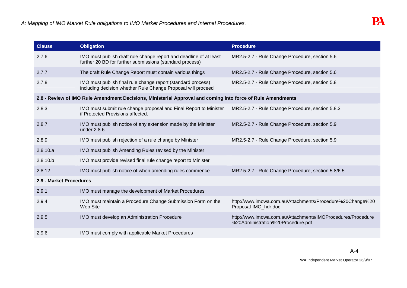| <b>Clause</b>           | <b>Obligation</b>                                                                                                              | <b>Procedure</b>                                                                                 |
|-------------------------|--------------------------------------------------------------------------------------------------------------------------------|--------------------------------------------------------------------------------------------------|
| 2.7.6                   | IMO must publish draft rule change report and deadline of at least<br>further 20 BD for further submissions (standard process) | MR2.5-2.7 - Rule Change Procedure, section 5.6                                                   |
| 2.7.7                   | The draft Rule Change Report must contain various things                                                                       | MR2.5-2.7 - Rule Change Procedure, section 5.6                                                   |
| 2.7.8                   | IMO must publish final rule change report (standard process)<br>including decision whether Rule Change Proposal will proceed   | MR2.5-2.7 - Rule Change Procedure, section 5.8                                                   |
|                         | 2.8 - Review of IMO Rule Amendment Decisions, Ministerial Approval and coming into force of Rule Amendments                    |                                                                                                  |
| 2.8.3                   | IMO must submit rule change proposal and Final Report to Minister<br>if Protected Provisions affected.                         | MR2.5-2.7 - Rule Change Procedure, section 5.8.3                                                 |
| 2.8.7                   | IMO must publish notice of any extension made by the Minister<br>under 2.8.6                                                   | MR2.5-2.7 - Rule Change Procedure, section 5.9                                                   |
| 2.8.9                   | IMO must publish rejection of a rule change by Minister                                                                        | MR2.5-2.7 - Rule Change Procedure, section 5.9                                                   |
| 2.8.10.a                | IMO must publish Amending Rules revised by the Minister                                                                        |                                                                                                  |
| 2.8.10.b                | IMO must provide revised final rule change report to Minister                                                                  |                                                                                                  |
| 2.8.12                  | IMO must publish notice of when amending rules commence                                                                        | MR2.5-2.7 - Rule Change Procedure, section 5.8/6.5                                               |
| 2.9 - Market Procedures |                                                                                                                                |                                                                                                  |
| 2.9.1                   | IMO must manage the development of Market Procedures                                                                           |                                                                                                  |
| 2.9.4                   | IMO must maintain a Procedure Change Submission Form on the<br>Web Site                                                        | http://www.imowa.com.au/Attachments/Procedure%20Change%20<br>Proposal-IMO_hdr.doc                |
| 2.9.5                   | IMO must develop an Administration Procedure                                                                                   | http://www.imowa.com.au/Attachments/IMOProcedures/Procedure<br>%20Administration%20Procedure.pdf |
| 2.9.6                   | IMO must comply with applicable Market Procedures                                                                              |                                                                                                  |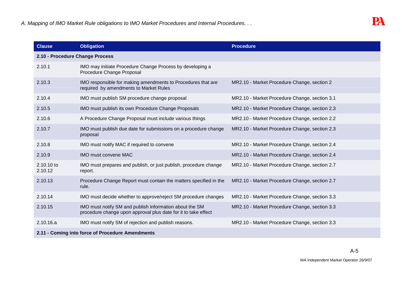| <b>Clause</b>                                    | <b>Obligation</b>                                                                                                         | <b>Procedure</b>                              |
|--------------------------------------------------|---------------------------------------------------------------------------------------------------------------------------|-----------------------------------------------|
| 2.10 - Procedure Change Process                  |                                                                                                                           |                                               |
| 2.10.1                                           | IMO may initiate Procedure Change Process by developing a<br>Procedure Change Proposal                                    |                                               |
| 2.10.3                                           | IMO responsible for making amendments to Procedures that are<br>required by amendments to Market Rules                    | MR2.10 - Market Procedure Change, section 2   |
| 2.10.4                                           | IMO must publish SM procedure change proposal                                                                             | MR2.10 - Market Procedure Change, section 3.1 |
| 2.10.5                                           | IMO must publish its own Procedure Change Proposals                                                                       | MR2.10 - Market Procedure Change, section 2.3 |
| 2.10.6                                           | A Procedure Change Proposal must include various things                                                                   | MR2.10 - Market Procedure Change, section 2.2 |
| 2.10.7                                           | IMO must publish due date for submissions on a procedure change<br>proposal                                               | MR2.10 - Market Procedure Change, section 2.3 |
| 2.10.8                                           | IMO must notify MAC if required to convene                                                                                | MR2.10 - Market Procedure Change, section 2.4 |
| 2.10.9                                           | IMO must convene MAC                                                                                                      | MR2.10 - Market Procedure Change, section 2.4 |
| 2.10.10 to<br>2.10.12                            | IMO must prepares and publish, or just publish, procedure change<br>report.                                               | MR2.10 - Market Procedure Change, section 2.7 |
| 2.10.13                                          | Procedure Change Report must contain the matters specified in the<br>rule.                                                | MR2.10 - Market Procedure Change, section 2.7 |
| 2.10.14                                          | IMO must decide whether to approve/reject SM procedure changes                                                            | MR2.10 - Market Procedure Change, section 3.3 |
| 2.10.15                                          | IMO must notify SM and publish information about the SM<br>procedure change upon approval plus date for it to take effect | MR2.10 - Market Procedure Change, section 3.3 |
| 2.10.16.a                                        | IMO must notify SM of rejection and publish reasons.                                                                      | MR2.10 - Market Procedure Change, section 3.3 |
| 2.11 - Coming into force of Procedure Amendments |                                                                                                                           |                                               |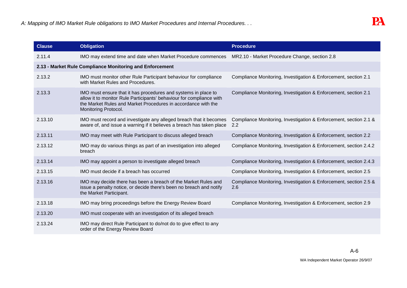| <b>Clause</b> | <b>Obligation</b>                                                                                                                                                                                                               | <b>Procedure</b>                                                         |
|---------------|---------------------------------------------------------------------------------------------------------------------------------------------------------------------------------------------------------------------------------|--------------------------------------------------------------------------|
| 2.11.4        | IMO may extend time and date when Market Procedure commences                                                                                                                                                                    | MR2.10 - Market Procedure Change, section 2.8                            |
|               | 2.13 - Market Rule Compliance Monitoring and Enforcement                                                                                                                                                                        |                                                                          |
| 2.13.2        | IMO must monitor other Rule Participant behaviour for compliance<br>with Market Rules and Procedures.                                                                                                                           | Compliance Monitoring, Investigation & Enforcement, section 2.1          |
| 2.13.3        | IMO must ensure that it has procedures and systems in place to<br>allow it to monitor Rule Participants' behaviour for compliance with<br>the Market Rules and Market Procedures in accordance with the<br>Monitoring Protocol. | Compliance Monitoring, Investigation & Enforcement, section 2.1          |
| 2.13.10       | IMO must record and investigate any alleged breach that it becomes<br>aware of, and issue a warning if it believes a breach has taken place                                                                                     | Compliance Monitoring, Investigation & Enforcement, section 2.1 &<br>2.2 |
| 2.13.11       | IMO may meet with Rule Participant to discuss alleged breach                                                                                                                                                                    | Compliance Monitoring, Investigation & Enforcement, section 2.2          |
| 2.13.12       | IMO may do various things as part of an investigation into alleged<br>breach                                                                                                                                                    | Compliance Monitoring, Investigation & Enforcement, section 2.4.2        |
| 2.13.14       | IMO may appoint a person to investigate alleged breach                                                                                                                                                                          | Compliance Monitoring, Investigation & Enforcement, section 2.4.3        |
| 2.13.15       | IMO must decide if a breach has occurred                                                                                                                                                                                        | Compliance Monitoring, Investigation & Enforcement, section 2.5          |
| 2.13.16       | IMO may decide there has been a breach of the Market Rules and<br>issue a penalty notice, or decide there's been no breach and notify<br>the Market Participant.                                                                | Compliance Monitoring, Investigation & Enforcement, section 2.5 &<br>2.6 |
| 2.13.18       | IMO may bring proceedings before the Energy Review Board                                                                                                                                                                        | Compliance Monitoring, Investigation & Enforcement, section 2.9          |
| 2.13.20       | IMO must cooperate with an investigation of its alleged breach                                                                                                                                                                  |                                                                          |
| 2.13.24       | IMO may direct Rule Participant to do/not do to give effect to any<br>order of the Energy Review Board                                                                                                                          |                                                                          |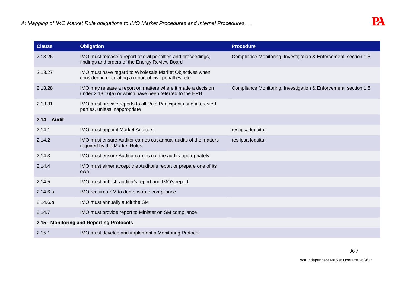| <b>Clause</b>  | <b>Obligation</b>                                                                                                        | <b>Procedure</b>                                                |
|----------------|--------------------------------------------------------------------------------------------------------------------------|-----------------------------------------------------------------|
| 2.13.26        | IMO must release a report of civil penalties and proceedings,<br>findings and orders of the Energy Review Board          | Compliance Monitoring, Investigation & Enforcement, section 1.5 |
| 2.13.27        | IMO must have regard to Wholesale Market Objectives when<br>considering circulating a report of civil penalties, etc     |                                                                 |
| 2.13.28        | IMO may release a report on matters where it made a decision<br>under 2.13.16(a) or which have been referred to the ERB. | Compliance Monitoring, Investigation & Enforcement, section 1.5 |
| 2.13.31        | IMO must provide reports to all Rule Participants and interested<br>parties, unless inappropriate                        |                                                                 |
| $2.14 -$ Audit |                                                                                                                          |                                                                 |
| 2.14.1         | IMO must appoint Market Auditors.                                                                                        | res ipsa loquitur                                               |
| 2.14.2         | IMO must ensure Auditor carries out annual audits of the matters<br>required by the Market Rules                         | res ipsa loquitur                                               |
| 2.14.3         | IMO must ensure Auditor carries out the audits appropriately                                                             |                                                                 |
| 2.14.4         | IMO must either accept the Auditor's report or prepare one of its<br>own.                                                |                                                                 |
| 2.14.5         | IMO must publish auditor's report and IMO's report                                                                       |                                                                 |
| 2.14.6.a       | IMO requires SM to demonstrate compliance                                                                                |                                                                 |
| 2.14.6.b       | IMO must annually audit the SM                                                                                           |                                                                 |
| 2.14.7         | IMO must provide report to Minister on SM compliance                                                                     |                                                                 |
|                | 2.15 - Monitoring and Reporting Protocols                                                                                |                                                                 |
| 2.15.1         | IMO must develop and implement a Monitoring Protocol                                                                     |                                                                 |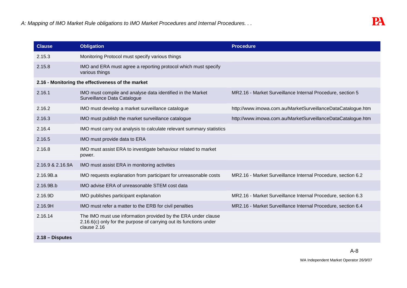| <b>Clause</b>    | <b>Obligation</b>                                                                                                                                  | <b>Procedure</b>                                             |
|------------------|----------------------------------------------------------------------------------------------------------------------------------------------------|--------------------------------------------------------------|
| 2.15.3           | Monitoring Protocol must specify various things                                                                                                    |                                                              |
| 2.15.8           | IMO and ERA must agree a reporting protocol which must specify<br>various things                                                                   |                                                              |
|                  | 2.16 - Monitoring the effectiveness of the market                                                                                                  |                                                              |
| 2.16.1           | IMO must compile and analyse data identified in the Market<br>Surveillance Data Catalogue                                                          | MR2.16 - Market Surveillance Internal Procedure, section 5   |
| 2.16.2           | IMO must develop a market surveillance catalogue                                                                                                   | http://www.imowa.com.au/MarketSurveillanceDataCatalogue.htm  |
| 2.16.3           | IMO must publish the market surveillance catalogue                                                                                                 | http://www.imowa.com.au/MarketSurveillanceDataCatalogue.htm  |
| 2.16.4           | IMO must carry out analysis to calculate relevant summary statistics                                                                               |                                                              |
| 2.16.5           | IMO must provide data to ERA                                                                                                                       |                                                              |
| 2.16.8           | IMO must assist ERA to investigate behaviour related to market<br>power.                                                                           |                                                              |
| 2.16.9 & 2.16.9A | IMO must assist ERA in monitoring activities                                                                                                       |                                                              |
| 2.16.9B.a        | IMO requests explanation from participant for unreasonable costs                                                                                   | MR2.16 - Market Surveillance Internal Procedure, section 6.2 |
| 2.16.9B.b        | IMO advise ERA of unreasonable STEM cost data                                                                                                      |                                                              |
| 2.16.9D          | IMO publishes participant explanation                                                                                                              | MR2.16 - Market Surveillance Internal Procedure, section 6.3 |
| 2.16.9H          | IMO must refer a matter to the ERB for civil penalties                                                                                             | MR2.16 - Market Surveillance Internal Procedure, section 6.4 |
| 2.16.14          | The IMO must use information provided by the ERA under clause<br>2.16.6(c) only for the purpose of carrying out its functions under<br>clause 2.16 |                                                              |
| 2.18 – Disputes  |                                                                                                                                                    |                                                              |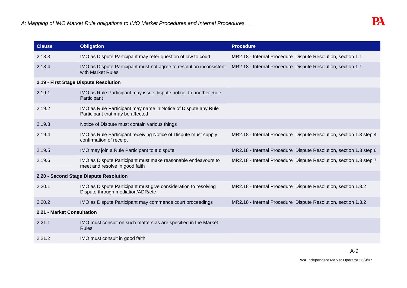| <b>Clause</b>              | <b>Obligation</b>                                                                                    | <b>Procedure</b>                                                   |
|----------------------------|------------------------------------------------------------------------------------------------------|--------------------------------------------------------------------|
| 2.18.3                     | IMO as Dispute Participant may refer question of law to court                                        | MR2.18 - Internal Procedure Dispute Resolution, section 1.1        |
| 2.18.4                     | IMO as Dispute Participant must not agree to resolution inconsistent<br>with Market Rules            | MR2.18 - Internal Procedure Dispute Resolution, section 1.1        |
|                            | 2.19 - First Stage Dispute Resolution                                                                |                                                                    |
| 2.19.1                     | IMO as Rule Participant may issue dispute notice to another Rule<br>Participant                      |                                                                    |
| 2.19.2                     | IMO as Rule Participant may name in Notice of Dispute any Rule<br>Participant that may be affected   |                                                                    |
| 2.19.3                     | Notice of Dispute must contain various things                                                        |                                                                    |
| 2.19.4                     | IMO as Rule Participant receiving Notice of Dispute must supply<br>confirmation of receipt           | MR2.18 - Internal Procedure Dispute Resolution, section 1.3 step 4 |
| 2.19.5                     | IMO may join a Rule Participant to a dispute                                                         | MR2.18 - Internal Procedure Dispute Resolution, section 1.3 step 6 |
| 2.19.6                     | IMO as Dispute Participant must make reasonable endeavours to<br>meet and resolve in good faith      | MR2.18 - Internal Procedure Dispute Resolution, section 1.3 step 7 |
|                            | 2.20 - Second Stage Dispute Resolution                                                               |                                                                    |
| 2.20.1                     | IMO as Dispute Participant must give consideration to resolving<br>Dispute through mediation/ADR/etc | MR2.18 - Internal Procedure Dispute Resolution, section 1.3.2      |
| 2.20.2                     | IMO as Dispute Participant may commence court proceedings                                            | MR2.18 - Internal Procedure Dispute Resolution, section 1.3.2      |
| 2.21 - Market Consultation |                                                                                                      |                                                                    |
| 2.21.1                     | IMO must consult on such matters as are specified in the Market<br><b>Rules</b>                      |                                                                    |
| 2.21.2                     | IMO must consult in good faith                                                                       |                                                                    |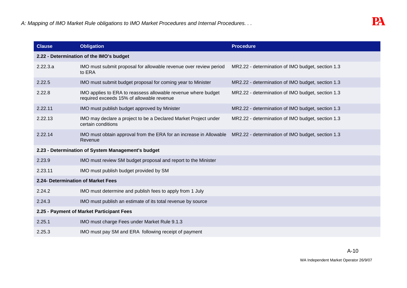| <b>Clause</b>                             | <b>Obligation</b>                                                                                          | <b>Procedure</b>                                  |  |
|-------------------------------------------|------------------------------------------------------------------------------------------------------------|---------------------------------------------------|--|
| 2.22 - Determination of the IMO's budget  |                                                                                                            |                                                   |  |
| 2.22.3.a                                  | IMO must submit proposal for allowable revenue over review period<br>to ERA                                | MR2.22 - determination of IMO budget, section 1.3 |  |
| 2.22.5                                    | IMO must submit budget proposal for coming year to Minister                                                | MR2.22 - determination of IMO budget, section 1.3 |  |
| 2.22.8                                    | IMO applies to ERA to reassess allowable revenue where budget<br>required exceeds 15% of allowable revenue | MR2.22 - determination of IMO budget, section 1.3 |  |
| 2.22.11                                   | IMO must publish budget approved by Minister                                                               | MR2.22 - determination of IMO budget, section 1.3 |  |
| 2.22.13                                   | IMO may declare a project to be a Declared Market Project under<br>certain conditions                      | MR2.22 - determination of IMO budget, section 1.3 |  |
| 2.22.14                                   | IMO must obtain approval from the ERA for an increase in Allowable<br>Revenue                              | MR2.22 - determination of IMO budget, section 1.3 |  |
|                                           | 2.23 - Determination of System Management's budget                                                         |                                                   |  |
| 2.23.9                                    | IMO must review SM budget proposal and report to the Minister                                              |                                                   |  |
| 2.23.11                                   | IMO must publish budget provided by SM                                                                     |                                                   |  |
|                                           | 2.24- Determination of Market Fees                                                                         |                                                   |  |
| 2.24.2                                    | IMO must determine and publish fees to apply from 1 July                                                   |                                                   |  |
| 2.24.3                                    | IMO must publish an estimate of its total revenue by source                                                |                                                   |  |
| 2.25 - Payment of Market Participant Fees |                                                                                                            |                                                   |  |
| 2.25.1                                    | IMO must charge Fees under Market Rule 9.1.3                                                               |                                                   |  |
| 2.25.3                                    | IMO must pay SM and ERA following receipt of payment                                                       |                                                   |  |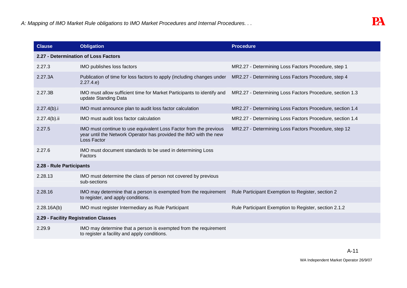| <b>Clause</b>                        | <b>Obligation</b>                                                                                                                                     | <b>Procedure</b>                                         |  |
|--------------------------------------|-------------------------------------------------------------------------------------------------------------------------------------------------------|----------------------------------------------------------|--|
| 2.27 - Determination of Loss Factors |                                                                                                                                                       |                                                          |  |
| 2.27.3                               | IMO publishes loss factors                                                                                                                            | MR2.27 - Determining Loss Factors Procedure, step 1      |  |
| 2.27.3A                              | Publication of time for loss factors to apply (including changes under<br>2.27.4.e)                                                                   | MR2.27 - Determining Loss Factors Procedure, step 4      |  |
| 2.27.3B                              | IMO must allow sufficient time for Market Participants to identify and<br>update Standing Data                                                        | MR2.27 - Determining Loss Factors Procedure, section 1.3 |  |
| 2.27.4(b).i                          | IMO must announce plan to audit loss factor calculation                                                                                               | MR2.27 - Determining Loss Factors Procedure, section 1.4 |  |
| $2.27.4(b).$ ii                      | IMO must audit loss factor calculation                                                                                                                | MR2.27 - Determining Loss Factors Procedure, section 1.4 |  |
| 2.27.5                               | IMO must continue to use equivalent Loss Factor from the previous<br>year until the Network Operator has provided the IMO with the new<br>Loss Factor | MR2.27 - Determining Loss Factors Procedure, step 12     |  |
| 2.27.6                               | IMO must document standards to be used in determining Loss<br>Factors                                                                                 |                                                          |  |
| 2.28 - Rule Participants             |                                                                                                                                                       |                                                          |  |
| 2.28.13                              | IMO must determine the class of person not covered by previous<br>sub-sections                                                                        |                                                          |  |
| 2.28.16                              | IMO may determine that a person is exempted from the requirement<br>to register, and apply conditions.                                                | Rule Participant Exemption to Register, section 2        |  |
| 2.28.16A(b)                          | IMO must register Intermediary as Rule Participant                                                                                                    | Rule Participant Exemption to Register, section 2.1.2    |  |
|                                      | 2.29 - Facility Registration Classes                                                                                                                  |                                                          |  |
| 2.29.9                               | IMO may determine that a person is exempted from the requirement<br>to register a facility and apply conditions.                                      |                                                          |  |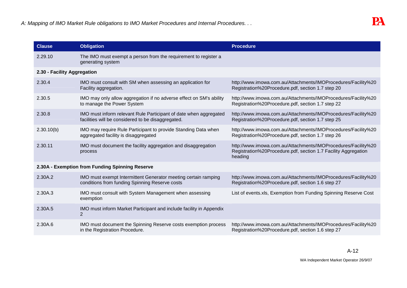| <b>Clause</b>                                   | <b>Obligation</b>                                                                                                       | <b>Procedure</b>                                                                                                                           |
|-------------------------------------------------|-------------------------------------------------------------------------------------------------------------------------|--------------------------------------------------------------------------------------------------------------------------------------------|
| 2.29.10                                         | The IMO must exempt a person from the requirement to register a<br>generating system                                    |                                                                                                                                            |
| 2.30 - Facility Aggregation                     |                                                                                                                         |                                                                                                                                            |
| 2.30.4                                          | IMO must consult with SM when assessing an application for<br>Facility aggregation.                                     | http://www.imowa.com.au/Attachments/IMOProcedures/Facility%20<br>Registration%20Procedure.pdf, section 1.7 step 20                         |
| 2.30.5                                          | IMO may only allow aggregation if no adverse effect on SM's ability<br>to manage the Power System                       | http://www.imowa.com.au/Attachments/IMOProcedures/Facility%20<br>Registration%20Procedure.pdf, section 1.7 step 22                         |
| 2.30.8                                          | IMO must inform relevant Rule Participant of date when aggregated<br>facilities will be considered to be disaggregated. | http://www.imowa.com.au/Attachments/IMOProcedures/Facility%20<br>Registration%20Procedure.pdf, section 1.7 step 25                         |
| 2.30.10(b)                                      | IMO may require Rule Participant to provide Standing Data when<br>aggregated facility is disaggregated                  | http://www.imowa.com.au/Attachments/IMOProcedures/Facility%20<br>Registration%20Procedure.pdf, section 1.7 step 26                         |
| 2.30.11                                         | IMO must document the facility aggregation and disaggregation<br>process                                                | http://www.imowa.com.au/Attachments/IMOProcedures/Facility%20<br>Registration%20Procedure.pdf, section 1.7 Facility Aggregation<br>heading |
| 2.30A - Exemption from Funding Spinning Reserve |                                                                                                                         |                                                                                                                                            |
| 2.30A.2                                         | IMO must exempt Intermittent Generator meeting certain ramping<br>conditions from funding Spinning Reserve costs        | http://www.imowa.com.au/Attachments/IMOProcedures/Facility%20<br>Registration%20Procedure.pdf, section 1.6 step 27                         |
| 2.30A.3                                         | IMO must consult with System Management when assessing<br>exemption                                                     | List of events.xls, Exemption from Funding Spinning Reserve Cost                                                                           |
| 2.30A.5                                         | IMO must inform Market Participant and include facility in Appendix<br>$\overline{2}$                                   |                                                                                                                                            |
| 2.30A.6                                         | IMO must document the Spinning Reserve costs exemption process<br>in the Registration Procedure.                        | http://www.imowa.com.au/Attachments/IMOProcedures/Facility%20<br>Registration%20Procedure.pdf, section 1.6 step 27                         |

WA Independent Market Operator 26/9/07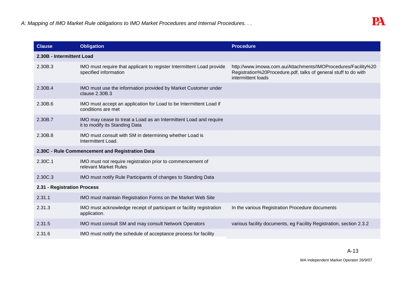| <b>Clause</b>                                   | <b>Obligation</b>                                                                                   | <b>Procedure</b>                                                                                                                                       |  |
|-------------------------------------------------|-----------------------------------------------------------------------------------------------------|--------------------------------------------------------------------------------------------------------------------------------------------------------|--|
| 2.30B - Intermittent Load                       |                                                                                                     |                                                                                                                                                        |  |
| 2.30B.3                                         | IMO must require that applicant to register Intermittent Load provide<br>specified information      | http://www.imowa.com.au/Attachments/IMOProcedures/Facility%20<br>Registration%20Procedure.pdf, talks of general stuff to do with<br>intermittent loads |  |
| 2.30B.4                                         | IMO must use the information provided by Market Customer under<br>clause 2.30B.3                    |                                                                                                                                                        |  |
| 2.30B.6                                         | IMO must accept an application for Load to be Intermittent Load if<br>conditions are met            |                                                                                                                                                        |  |
| 2.30B.7                                         | IMO may cease to treat a Load as an Intermittent Load and require<br>it to modify its Standing Data |                                                                                                                                                        |  |
| 2.30B.8                                         | IMO must consult with SM in determining whether Load is<br>Intermittent Load.                       |                                                                                                                                                        |  |
| 2.30C - Rule Commencement and Registration Data |                                                                                                     |                                                                                                                                                        |  |
| 2.30C.1                                         | IMO must not require registration prior to commencement of<br>relevant Market Rules                 |                                                                                                                                                        |  |
| 2.30C.3                                         | IMO must notify Rule Participants of changes to Standing Data                                       |                                                                                                                                                        |  |
| 2.31 - Registration Process                     |                                                                                                     |                                                                                                                                                        |  |
| 2.31.1                                          | IMO must maintain Registration Forms on the Market Web Site                                         |                                                                                                                                                        |  |
| 2.31.3                                          | IMO must acknowledge receipt of participant or facility registration<br>application.                | In the various Registration Procedure documents                                                                                                        |  |
| 2.31.5                                          | IMO must consult SM and may consult Network Operators                                               | various facility documents, eg Facility Registration, section 2.3.2                                                                                    |  |
| 2.31.6                                          | IMO must notify the schedule of acceptance process for facility                                     |                                                                                                                                                        |  |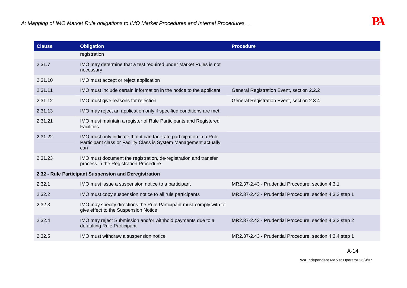| <b>Clause</b> | <b>Obligation</b>                                                                                                                                 | <b>Procedure</b>                                         |
|---------------|---------------------------------------------------------------------------------------------------------------------------------------------------|----------------------------------------------------------|
|               | registration                                                                                                                                      |                                                          |
| 2.31.7        | IMO may determine that a test required under Market Rules is not<br>necessary                                                                     |                                                          |
| 2.31.10       | IMO must accept or reject application                                                                                                             |                                                          |
| 2.31.11       | IMO must include certain information in the notice to the applicant                                                                               | General Registration Event, section 2.2.2                |
| 2.31.12       | IMO must give reasons for rejection                                                                                                               | General Registration Event, section 2.3.4                |
| 2.31.13       | IMO may reject an application only if specified conditions are met                                                                                |                                                          |
| 2.31.21       | IMO must maintain a register of Rule Participants and Registered<br><b>Facilities</b>                                                             |                                                          |
| 2.31.22       | IMO must only indicate that it can facilitate participation in a Rule<br>Participant class or Facility Class is System Management actually<br>can |                                                          |
| 2.31.23       | IMO must document the registration, de-registration and transfer<br>process in the Registration Procedure                                         |                                                          |
|               | 2.32 - Rule Participant Suspension and Deregistration                                                                                             |                                                          |
| 2.32.1        | IMO must issue a suspension notice to a participant                                                                                               | MR2.37-2.43 - Prudential Procedure, section 4.3.1        |
| 2.32.2        | IMO must copy suspension notice to all rule participants                                                                                          | MR2.37-2.43 - Prudential Procedure, section 4.3.2 step 1 |
| 2.32.3        | IMO may specify directions the Rule Participant must comply with to<br>give effect to the Suspension Notice                                       |                                                          |
| 2.32.4        | IMO may reject Submission and/or withhold payments due to a<br>defaulting Rule Participant                                                        | MR2.37-2.43 - Prudential Procedure, section 4.3.2 step 2 |
| 2.32.5        | IMO must withdraw a suspension notice                                                                                                             | MR2.37-2.43 - Prudential Procedure, section 4.3.4 step 1 |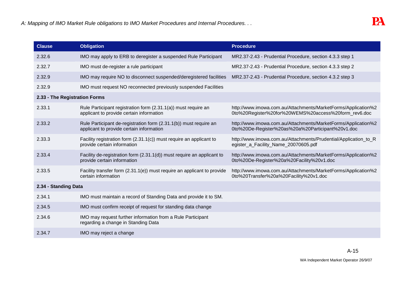| <b>Clause</b>                 | <b>Obligation</b>                                                                                             | <b>Procedure</b>                                                                                                      |  |
|-------------------------------|---------------------------------------------------------------------------------------------------------------|-----------------------------------------------------------------------------------------------------------------------|--|
| 2.32.6                        | IMO may apply to ERB to deregister a suspended Rule Participant                                               | MR2.37-2.43 - Prudential Procedure, section 4.3.3 step 1                                                              |  |
| 2.32.7                        | IMO must de-register a rule participant                                                                       | MR2.37-2.43 - Prudential Procedure, section 4.3.3 step 2                                                              |  |
| 2.32.9                        | IMO may require NO to disconnect suspended/deregistered facilities                                            | MR2.37-2.43 - Prudential Procedure, section 4.3.2 step 3                                                              |  |
| 2.32.9                        | IMO must request NO reconnected previously suspended Facilities                                               |                                                                                                                       |  |
| 2.33 - The Registration Forms |                                                                                                               |                                                                                                                       |  |
| 2.33.1                        | Rule Participant registration form (2.31.1(a)) must require an<br>applicant to provide certain information    | http://www.imowa.com.au/Attachments/MarketForms/Application%2<br>0to%20Register%20for%20WEMS%20access%20form_rev6.doc |  |
| 2.33.2                        | Rule Participant de-registration form (2.31.1(b)) must require an<br>applicant to provide certain information | http://www.imowa.com.au/Attachments/MarketForms/Application%2<br>0to%20De-Register%20as%20a%20Participant%20v1.doc    |  |
| 2.33.3                        | Facility registration form $(2.31.1(c))$ must require an applicant to<br>provide certain information          | http://www.imowa.com.au/Attachments/Prudential/Application_to_R<br>egister_a_Facility_Name_20070605.pdf               |  |
| 2.33.4                        | Facility de-registration form (2.31.1(d)) must require an applicant to<br>provide certain information         | http://www.imowa.com.au/Attachments/MarketForms/Application%2<br>0to%20De-Register%20a%20Facility%20v1.doc            |  |
| 2.33.5                        | Facility transfer form (2.31.1(e)) must require an applicant to provide<br>certain information                | http://www.imowa.com.au/Attachments/MarketForms/Application%2<br>0to%20Transfer%20a%20Facility%20v1.doc               |  |
| 2.34 - Standing Data          |                                                                                                               |                                                                                                                       |  |
| 2.34.1                        | IMO must maintain a record of Standing Data and provide it to SM.                                             |                                                                                                                       |  |
| 2.34.5                        | IMO must confirm receipt of request for standing data change                                                  |                                                                                                                       |  |
| 2.34.6                        | IMO may request further information from a Rule Participant<br>regarding a change in Standing Data            |                                                                                                                       |  |
| 2.34.7                        | IMO may reject a change                                                                                       |                                                                                                                       |  |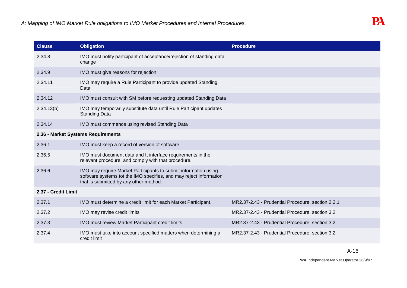| <b>Clause</b>       | <b>Obligation</b>                                                                                                                                                               | <b>Procedure</b>                                  |
|---------------------|---------------------------------------------------------------------------------------------------------------------------------------------------------------------------------|---------------------------------------------------|
| 2.34.8              | IMO must notify participant of acceptance/rejection of standing data<br>change                                                                                                  |                                                   |
| 2.34.9              | IMO must give reasons for rejection                                                                                                                                             |                                                   |
| 2.34.11             | IMO may require a Rule Participant to provide updated Standing<br>Data                                                                                                          |                                                   |
| 2.34.12             | IMO must consult with SM before requesting updated Standing Data                                                                                                                |                                                   |
| 2.34.13(b)          | IMO may temporarily substitute data until Rule Participant updates<br><b>Standing Data</b>                                                                                      |                                                   |
| 2.34.14             | IMO must commence using revised Standing Data                                                                                                                                   |                                                   |
|                     | 2.36 - Market Systems Requirements                                                                                                                                              |                                                   |
| 2.36.1              | IMO must keep a record of version of software                                                                                                                                   |                                                   |
| 2.36.5              | IMO must document data and It interface requirements in the<br>relevant procedure, and comply with that procedure.                                                              |                                                   |
| 2.36.6              | IMO may require Market Participants to submit information using<br>software systems tot the IMO specifies, and may reject information<br>that is submitted by any other method. |                                                   |
| 2.37 - Credit Limit |                                                                                                                                                                                 |                                                   |
| 2.37.1              | IMO must determine a credit limit for each Market Participant.                                                                                                                  | MR2.37-2.43 - Prudential Procedure, section 2.2.1 |
| 2.37.2              | IMO may revise credit limits                                                                                                                                                    | MR2.37-2.43 - Prudential Procedure, section 3.2   |
| 2.37.3              | IMO must review Market Participant credit limits                                                                                                                                | MR2.37-2.43 - Prudential Procedure, section 3.2   |
| 2.37.4              | IMO must take into account specified matters when determining a<br>credit limit                                                                                                 | MR2.37-2.43 - Prudential Procedure, section 3.2   |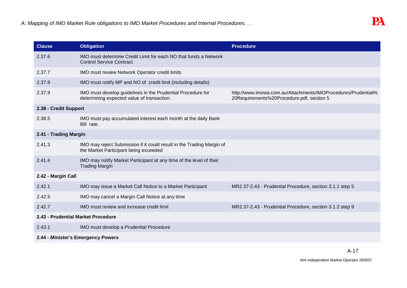| <b>Clause</b>                      | <b>Obligation</b>                                                                                              | <b>Procedure</b>                                                                                           |
|------------------------------------|----------------------------------------------------------------------------------------------------------------|------------------------------------------------------------------------------------------------------------|
| 2.37.6                             | IMO must determine Credit Limit for each NO that funds a Network<br><b>Control Service Contract</b>            |                                                                                                            |
| 2.37.7                             | IMO must review Network Operator credit limits                                                                 |                                                                                                            |
| 2.37.8                             | IMO must notify MP and NO of credit limit (including details)                                                  |                                                                                                            |
| 2.37.9                             | IMO must develop guidelines in the Prudential Procedure for<br>determining expected value of transaction.      | http://www.imowa.com.au/Attachments/IMOProcedures/Prudential%<br>20Requirements%20Procedure.pdf, section 5 |
| 2.38 - Credit Support              |                                                                                                                |                                                                                                            |
| 2.38.5                             | IMO must pay accumulated interest each month at the daily Bank<br>Bill rate.                                   |                                                                                                            |
| 2.41 - Trading Margin              |                                                                                                                |                                                                                                            |
| 2.41.3                             | IMO may reject Submission if it could result in the Trading Margin of<br>the Market Participant being exceeded |                                                                                                            |
| 2.41.4                             | IMO may notify Market Participant at any time of the level of their<br><b>Trading Margin</b>                   |                                                                                                            |
| 2.42 - Margin Call                 |                                                                                                                |                                                                                                            |
| 2.42.1                             | IMO may issue a Market Call Notice to a Market Participant                                                     | MR2.37-2.43 - Prudential Procedure, section 3.1.1 step 5                                                   |
| 2.42.5                             | IMO may cancel a Margin Call Notice at any time                                                                |                                                                                                            |
| 2.42.7                             | IMO must review and increase credit limit                                                                      | MR2.37-2.43 - Prudential Procedure, section 3.1.2 step 9                                                   |
| 2.43 - Prudential Market Procedure |                                                                                                                |                                                                                                            |
| 2.43.1                             | IMO must develop a Prudential Procedure                                                                        |                                                                                                            |
|                                    | 2.44 - Minister's Emergency Powers                                                                             |                                                                                                            |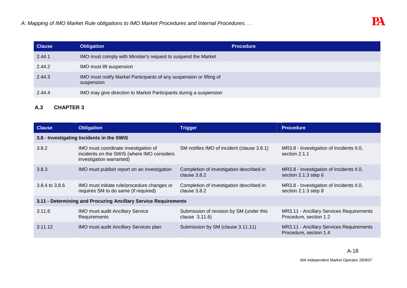| <b>Clause</b> | <b>Obligation</b>                                                                 | <b>Procedure</b> |
|---------------|-----------------------------------------------------------------------------------|------------------|
| 2.44.1        | IMO must comply with Minister's request to suspend the Market                     |                  |
| 2.44.2        | IMO must lift suspension                                                          |                  |
| 2.44.3        | IMO must notify Market Participants of any suspension or lifting of<br>suspension |                  |
| 2.44.4        | IMO may give direction to Market Participants during a suspension                 |                  |

# **A.3 CHAPTER 3**

| <b>Clause</b>                                                   | <b>Obligation</b>                                                                                              | <b>Trigger</b>                                             | <b>Procedure</b>                                                   |  |  |
|-----------------------------------------------------------------|----------------------------------------------------------------------------------------------------------------|------------------------------------------------------------|--------------------------------------------------------------------|--|--|
|                                                                 | 3.8 - Investigating Incidents in the SWIS                                                                      |                                                            |                                                                    |  |  |
| 3.8.2                                                           | IMO must coordinate investigation of<br>incidents on the SWIS (where IMO considers<br>investigation warranted) | SM notifies IMO of incident (clause 3.8.1)                 | MR3.8 - Investigation of Incidents II.0,<br>section 2.1.1          |  |  |
| 3.8.3                                                           | IMO must publish report on an investigation                                                                    | Completion of investigation described in<br>clause $3.8.2$ | MR3.8 - Investigation of Incidents II.0,<br>section 2.1.3 step 6   |  |  |
| 3.8.4 to 3.8.6                                                  | IMO must initiate rule/procedure changes or<br>requires SM to do same (if required)                            | Completion of investigation described in<br>clause $3.8.2$ | MR3.8 - Investigation of Incidents II.0,<br>section 2.1.3 step 8   |  |  |
| 3.11 - Determining and Procuring Ancillary Service Requirements |                                                                                                                |                                                            |                                                                    |  |  |
| 3.11.6                                                          | <b>IMO must audit Ancillary Service</b><br>Requirements                                                        | Submission of revision by SM (under this<br>clause 3.11.6) | MR3.11 - Ancillary Services Requirements<br>Procedure, section 1.2 |  |  |
| 3.11.12                                                         | IMO must audit Ancillary Services plan                                                                         | Submission by SM (clause 3.11.11)                          | MR3.11 - Ancillary Services Requirements<br>Procedure, section 1.4 |  |  |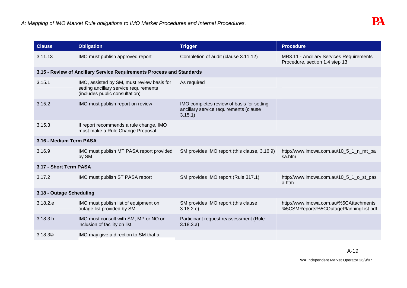| <b>Clause</b>            | <b>Obligation</b>                                                                                                      | <b>Trigger</b>                                                                                | <b>Procedure</b>                                                                |
|--------------------------|------------------------------------------------------------------------------------------------------------------------|-----------------------------------------------------------------------------------------------|---------------------------------------------------------------------------------|
| 3.11.13                  | IMO must publish approved report                                                                                       | Completion of audit (clause 3.11.12)                                                          | MR3.11 - Ancillary Services Requirements<br>Procedure, section 1.4 step 13      |
|                          | 3.15 - Review of Ancillary Service Requirements Process and Standards                                                  |                                                                                               |                                                                                 |
| 3.15.1                   | IMO, assisted by SM, must review basis for<br>setting ancillary service requirements<br>(includes public consultation) | As required                                                                                   |                                                                                 |
| 3.15.2                   | IMO must publish report on review                                                                                      | IMO completes review of basis for setting<br>ancillary service requirements (clause<br>3.15.1 |                                                                                 |
| 3.15.3                   | If report recommends a rule change, IMO<br>must make a Rule Change Proposal                                            |                                                                                               |                                                                                 |
| 3.16 - Medium Term PASA  |                                                                                                                        |                                                                                               |                                                                                 |
| 3.16.9                   | IMO must publish MT PASA report provided<br>by SM                                                                      | SM provides IMO report (this clause, 3.16.9)                                                  | http://www.imowa.com.au/10_5_1_n_mt_pa<br>sa.htm                                |
| 3.17 - Short Term PASA   |                                                                                                                        |                                                                                               |                                                                                 |
| 3.17.2                   | IMO must publish ST PASA report                                                                                        | SM provides IMO report (Rule 317.1)                                                           | http://www.imowa.com.au/10_5_1_o_st_pas<br>a.htm                                |
| 3.18 - Outage Scheduling |                                                                                                                        |                                                                                               |                                                                                 |
| 3.18.2.e                 | IMO must publish list of equipment on<br>outage list provided by SM                                                    | SM provides IMO report (this clause<br>3.18.2.e)                                              | http://www.imowa.com.au/%5CAttachments<br>%5CSMReports%5COutagePlanningList.pdf |
| 3.18.3.b                 | IMO must consult with SM, MP or NO on<br>inclusion of facility on list                                                 | Participant request reassessment (Rule<br>3.18.3.a)                                           |                                                                                 |
| 3.18.3 <sup>°</sup>      | IMO may give a direction to SM that a                                                                                  |                                                                                               |                                                                                 |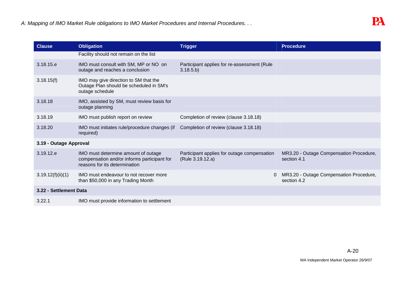| <b>Clause</b>          | <b>Obligation</b>                                                                                                   | <b>Trigger</b>                                                  | <b>Procedure</b>                                       |
|------------------------|---------------------------------------------------------------------------------------------------------------------|-----------------------------------------------------------------|--------------------------------------------------------|
|                        | Facility should not remain on the list                                                                              |                                                                 |                                                        |
| 3.18.15.e              | IMO must consult with SM, MP or NO on<br>outage and reaches a conclusion                                            | Participant applies for re-assessment (Rule<br>3.18.5.b)        |                                                        |
| 3.18.15(f)             | IMO may give direction to SM that the<br>Outage Plan should be scheduled in SM's<br>outage schedule                 |                                                                 |                                                        |
| 3.18.18                | IMO, assisted by SM, must review basis for<br>outage planning                                                       |                                                                 |                                                        |
| 3.18.19                | IMO must publish report on review                                                                                   | Completion of review (clause 3.18.18)                           |                                                        |
| 3.18.20                | IMO must initiates rule/procedure changes (if<br>required)                                                          | Completion of review (clause 3.18.18)                           |                                                        |
| 3.19 - Outage Approval |                                                                                                                     |                                                                 |                                                        |
| 3.19.12.e              | IMO must determine amount of outage<br>compensation and/or informs participant for<br>reasons for its determination | Participant applies for outage compensation<br>(Rule 3.19.12.a) | MR3.20 - Outage Compensation Procedure,<br>section 4.1 |
| 3.19.12(f)(ii)(1)      | IMO must endeavour to not recover more<br>than \$50,000 in any Trading Month                                        |                                                                 | MR3.20 - Outage Compensation Procedure,<br>section 4.2 |
| 3.22 - Settlement Data |                                                                                                                     |                                                                 |                                                        |
| 3.22.1                 | IMO must provide information to settlement                                                                          |                                                                 |                                                        |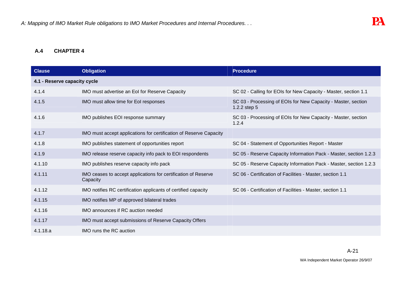#### **A.4 CHAPTER 4**

| <b>Clause</b>                | <b>Obligation</b>                                                          | <b>Procedure</b>                                                              |
|------------------------------|----------------------------------------------------------------------------|-------------------------------------------------------------------------------|
| 4.1 - Reserve capacity cycle |                                                                            |                                                                               |
| 4.1.4                        | IMO must advertise an EoI for Reserve Capacity                             | SC 02 - Calling for EOIs for New Capacity - Master, section 1.1               |
| 4.1.5                        | IMO must allow time for EoI responses                                      | SC 03 - Processing of EOIs for New Capacity - Master, section<br>1.2.2 step 5 |
| 4.1.6                        | IMO publishes EOI response summary                                         | SC 03 - Processing of EOIs for New Capacity - Master, section<br>1.2.4        |
| 4.1.7                        | IMO must accept applications for certification of Reserve Capacity         |                                                                               |
| 4.1.8                        | IMO publishes statement of opportunities report                            | SC 04 - Statement of Opportunities Report - Master                            |
| 4.1.9                        | IMO release reserve capacity info pack to EOI respondents                  | SC 05 - Reserve Capacity Information Pack - Master, section 1.2.3             |
| 4.1.10                       | IMO publishes reserve capacity info pack                                   | SC 05 - Reserve Capacity Information Pack - Master, section 1.2.3             |
| 4.1.11                       | IMO ceases to accept applications for certification of Reserve<br>Capacity | SC 06 - Certification of Facilities - Master, section 1.1                     |
| 4.1.12                       | IMO notifies RC certification applicants of certified capacity             | SC 06 - Certification of Facilities - Master, section 1.1                     |
| 4.1.15                       | IMO notifies MP of approved bilateral trades                               |                                                                               |
| 4.1.16                       | IMO announces if RC auction needed                                         |                                                                               |
| 4.1.17                       | IMO must accept submissions of Reserve Capacity Offers                     |                                                                               |
| 4.1.18.a                     | IMO runs the RC auction                                                    |                                                                               |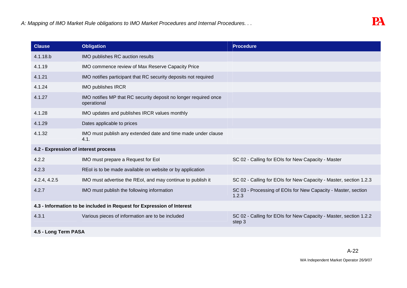| <b>Clause</b>                        | <b>Obligation</b>                                                               | <b>Procedure</b>                                                            |
|--------------------------------------|---------------------------------------------------------------------------------|-----------------------------------------------------------------------------|
| 4.1.18.b                             | IMO publishes RC auction results                                                |                                                                             |
| 4.1.19                               | IMO commence review of Max Reserve Capacity Price                               |                                                                             |
| 4.1.21                               | IMO notifies participant that RC security deposits not required                 |                                                                             |
| 4.1.24                               | <b>IMO publishes IRCR</b>                                                       |                                                                             |
| 4.1.27                               | IMO notifies MP that RC security deposit no longer required once<br>operational |                                                                             |
| 4.1.28                               | IMO updates and publishes IRCR values monthly                                   |                                                                             |
| 4.1.29                               | Dates applicable to prices                                                      |                                                                             |
| 4.1.32                               | IMO must publish any extended date and time made under clause<br>4.1.           |                                                                             |
| 4.2 - Expression of interest process |                                                                                 |                                                                             |
| 4.2.2                                | IMO must prepare a Request for Eol                                              | SC 02 - Calling for EOIs for New Capacity - Master                          |
| 4.2.3                                | REol is to be made available on website or by application                       |                                                                             |
| 4.2.4, 4.2.5                         | IMO must advertise the REoI, and may continue to publish it                     | SC 02 - Calling for EOIs for New Capacity - Master, section 1.2.3           |
| 4.2.7                                | IMO must publish the following information                                      | SC 03 - Processing of EOIs for New Capacity - Master, section<br>1.2.3      |
|                                      | 4.3 - Information to be included in Request for Expression of Interest          |                                                                             |
| 4.3.1                                | Various pieces of information are to be included                                | SC 02 - Calling for EOIs for New Capacity - Master, section 1.2.2<br>step 3 |
| 4.5 - Long Term PASA                 |                                                                                 |                                                                             |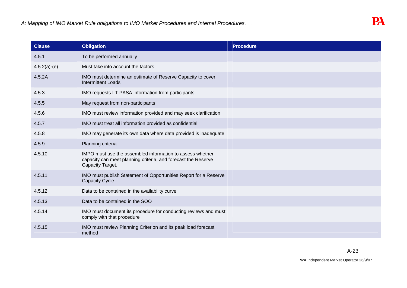| <b>Clause</b>  | <b>Obligation</b>                                                                                                                              | <b>Procedure</b> |
|----------------|------------------------------------------------------------------------------------------------------------------------------------------------|------------------|
| 4.5.1          | To be performed annually                                                                                                                       |                  |
| $4.5.2(a)-(e)$ | Must take into account the factors                                                                                                             |                  |
| 4.5.2A         | IMO must determine an estimate of Reserve Capacity to cover<br><b>Intermittent Loads</b>                                                       |                  |
| 4.5.3          | IMO requests LT PASA information from participants                                                                                             |                  |
| 4.5.5          | May request from non-participants                                                                                                              |                  |
| 4.5.6          | IMO must review information provided and may seek clarification                                                                                |                  |
| 4.5.7          | IMO must treat all information provided as confidential                                                                                        |                  |
| 4.5.8          | IMO may generate its own data where data provided is inadequate                                                                                |                  |
| 4.5.9          | Planning criteria                                                                                                                              |                  |
| 4.5.10         | IMPO must use the assembled information to assess whether<br>capacity can meet planning criteria, and forecast the Reserve<br>Capacity Target. |                  |
| 4.5.11         | IMO must publish Statement of Opportunities Report for a Reserve<br><b>Capacity Cycle</b>                                                      |                  |
| 4.5.12         | Data to be contained in the availability curve                                                                                                 |                  |
| 4.5.13         | Data to be contained in the SOO                                                                                                                |                  |
| 4.5.14         | IMO must document its procedure for conducting reviews and must<br>comply with that procedure                                                  |                  |
| 4.5.15         | IMO must review Planning Criterion and its peak load forecast<br>method                                                                        |                  |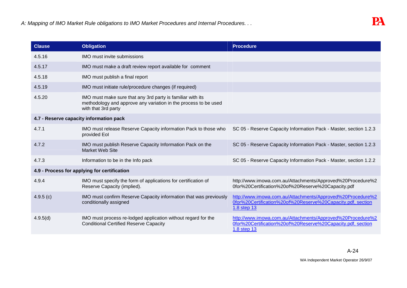| <b>Clause</b> | <b>Obligation</b>                                                                                                                                    | <b>Procedure</b>                                                                                                                         |
|---------------|------------------------------------------------------------------------------------------------------------------------------------------------------|------------------------------------------------------------------------------------------------------------------------------------------|
| 4.5.16        | <b>IMO</b> must invite submissions                                                                                                                   |                                                                                                                                          |
| 4.5.17        | IMO must make a draft review report available for comment                                                                                            |                                                                                                                                          |
| 4.5.18        | IMO must publish a final report                                                                                                                      |                                                                                                                                          |
| 4.5.19        | IMO must initiate rule/procedure changes (if required)                                                                                               |                                                                                                                                          |
| 4.5.20        | IMO must make sure that any 3rd party is familiar with its<br>methodology and approve any variation in the process to be used<br>with that 3rd party |                                                                                                                                          |
|               | 4.7 - Reserve capacity information pack                                                                                                              |                                                                                                                                          |
| 4.7.1         | IMO must release Reserve Capacity information Pack to those who<br>provided Eol                                                                      | SC 05 - Reserve Capacity Information Pack - Master, section 1.2.3                                                                        |
| 4.7.2         | IMO must publish Reserve Capacity Information Pack on the<br><b>Market Web Site</b>                                                                  | SC 05 - Reserve Capacity Information Pack - Master, section 1.2.3                                                                        |
| 4.7.3         | Information to be in the Info pack                                                                                                                   | SC 05 - Reserve Capacity Information Pack - Master, section 1.2.2                                                                        |
|               | 4.9 - Process for applying for certification                                                                                                         |                                                                                                                                          |
| 4.9.4         | IMO must specify the form of applications for certification of<br>Reserve Capacity (implied).                                                        | http://www.imowa.com.au/Attachments/Approved%20Procedure%2<br>0for%20Certification%20of%20Reserve%20Capacity.pdf                         |
| 4.9.5(c)      | IMO must confirm Reserve Capacity information that was previously<br>conditionally assigned                                                          | http://www.imowa.com.au/Attachments/Approved%20Procedure%2<br>0for%20Certification%20of%20Reserve%20Capacity.pdf, section<br>1.8 step 13 |
| 4.9.5(d)      | IMO must process re-lodged application without regard for the<br><b>Conditional Certified Reserve Capacity</b>                                       | http://www.imowa.com.au/Attachments/Approved%20Procedure%2<br>0for%20Certification%20of%20Reserve%20Capacity.pdf, section<br>1.8 step 13 |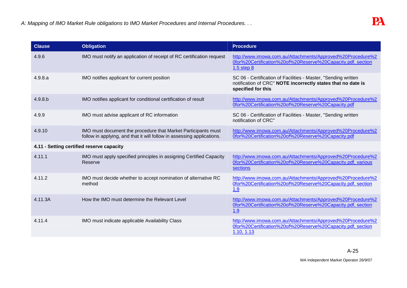| <b>Clause</b> | <b>Obligation</b>                                                                                                                       | <b>Procedure</b>                                                                                                                                     |
|---------------|-----------------------------------------------------------------------------------------------------------------------------------------|------------------------------------------------------------------------------------------------------------------------------------------------------|
| 4.9.6         | IMO must notify an application of receipt of RC certification request                                                                   | http://www.imowa.com.au/Attachments/Approved%20Procedure%2<br>0for%20Certification%20of%20Reserve%20Capacity.pdf, section<br>$1.5$ step $8$          |
| 4.9.8.a       | IMO notifies applicant for current position                                                                                             | SC 06 - Certification of Facilities - Master, "Sending written<br>notification of CRC" NOTE incorrectly states that no date is<br>specified for this |
| 4.9.8.b       | IMO notifies applicant for conditional certification of result                                                                          | http://www.imowa.com.au/Attachments/Approved%20Procedure%2<br>0for%20Certification%20of%20Reserve%20Capacity.pdf                                     |
| 4.9.9         | IMO must advise applicant of RC information                                                                                             | SC 06 - Certification of Facilities - Master, "Sending written<br>notification of CRC"                                                               |
| 4.9.10        | IMO must document the procedure that Market Participants must<br>follow in applying, and that it will follow in assessing applications. | http://www.imowa.com.au/Attachments/Approved%20Procedure%2<br>0for%20Certification%20of%20Reserve%20Capacity.pdf                                     |
|               | 4.11 - Setting certified reserve capacity                                                                                               |                                                                                                                                                      |
| 4.11.1        | IMO must apply specified principles in assigning Certified Capacity<br>Reserve                                                          | http://www.imowa.com.au/Attachments/Approved%20Procedure%2<br>0for%20Certification%20of%20Reserve%20Capacity.pdf, various<br>sections                |
| 4.11.2        | IMO must decide whether to accept nomination of alternative RC<br>method                                                                | http://www.imowa.com.au/Attachments/Approved%20Procedure%2<br>0for%20Certification%20of%20Reserve%20Capacity.pdf, section<br>1.9                     |
| 4.11.3A       | How the IMO must determine the Relevant Level                                                                                           | http://www.imowa.com.au/Attachments/Approved%20Procedure%2<br>0for%20Certification%20of%20Reserve%20Capacity.pdf, section<br>1.9                     |
| 4.11.4        | IMO must indicate applicable Availability Class                                                                                         | http://www.imowa.com.au/Attachments/Approved%20Procedure%2<br>0for%20Certification%20of%20Reserve%20Capacity.pdf, section<br>1.10, 1.13              |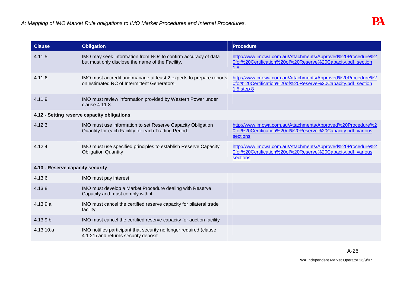| <b>Clause</b>                    | <b>Obligation</b>                                                                                                  | <b>Procedure</b>                                                                                                                            |
|----------------------------------|--------------------------------------------------------------------------------------------------------------------|---------------------------------------------------------------------------------------------------------------------------------------------|
| 4.11.5                           | IMO may seek information from NOs to confirm accuracy of data<br>but must only disclose the name of the Facility.  | http://www.imowa.com.au/Attachments/Approved%20Procedure%2<br>0for%20Certification%20of%20Reserve%20Capacity.pdf, section<br>1.8            |
| 4.11.6                           | IMO must accredit and manage at least 2 experts to prepare reports<br>on estimated RC of Intermittent Generators.  | http://www.imowa.com.au/Attachments/Approved%20Procedure%2<br>0for%20Certification%20of%20Reserve%20Capacity.pdf, section<br>$1.5$ step $8$ |
| 4.11.9                           | IMO must review information provided by Western Power under<br>clause 4.11.8                                       |                                                                                                                                             |
|                                  | 4.12 - Setting reserve capacity obligations                                                                        |                                                                                                                                             |
| 4.12.3                           | IMO must use information to set Reserve Capacity Obligation<br>Quantity for each Facility for each Trading Period. | http://www.imowa.com.au/Attachments/Approved%20Procedure%2<br>0for%20Certification%20of%20Reserve%20Capacity.pdf, various<br>sections       |
| 4.12.4                           | IMO must use specified principles to establish Reserve Capacity<br><b>Obligation Quantity</b>                      | http://www.imowa.com.au/Attachments/Approved%20Procedure%2<br>0for%20Certification%20of%20Reserve%20Capacity.pdf, various<br>sections       |
| 4.13 - Reserve capacity security |                                                                                                                    |                                                                                                                                             |
| 4.13.6                           | IMO must pay interest                                                                                              |                                                                                                                                             |
| 4.13.8                           | IMO must develop a Market Procedure dealing with Reserve<br>Capacity and must comply with it.                      |                                                                                                                                             |
| 4.13.9.a                         | IMO must cancel the certified reserve capacity for bilateral trade<br>facility                                     |                                                                                                                                             |
| 4.13.9.b                         | IMO must cancel the certified reserve capacity for auction facility                                                |                                                                                                                                             |
| 4.13.10.a                        | IMO notifies participant that security no longer required (clause<br>4.1.21) and returns security deposit          |                                                                                                                                             |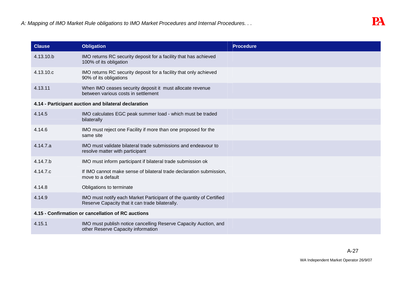| <b>Clause</b> | <b>Obligation</b>                                                                                                       | <b>Procedure</b> |
|---------------|-------------------------------------------------------------------------------------------------------------------------|------------------|
| 4.13.10.b     | IMO returns RC security deposit for a facility that has achieved<br>100% of its obligation                              |                  |
| 4.13.10.c     | IMO returns RC security deposit for a facility that only achieved<br>90% of its obligations                             |                  |
| 4.13.11       | When IMO ceases security deposit it must allocate revenue<br>between various costs in settlement                        |                  |
|               | 4.14 - Participant auction and bilateral declaration                                                                    |                  |
| 4.14.5        | IMO calculates EGC peak summer load - which must be traded<br>bilaterally                                               |                  |
| 4.14.6        | IMO must reject one Facility if more than one proposed for the<br>same site                                             |                  |
| 4.14.7.a      | IMO must validate bilateral trade submissions and endeavour to<br>resolve matter with participant                       |                  |
| 4.14.7.b      | IMO must inform participant if bilateral trade submission ok                                                            |                  |
| 4.14.7.c      | If IMO cannot make sense of bilateral trade declaration submission,<br>move to a default                                |                  |
| 4.14.8        | Obligations to terminate                                                                                                |                  |
| 4.14.9        | IMO must notify each Market Participant of the quantity of Certified<br>Reserve Capacity that it can trade bilaterally. |                  |
|               | 4.15 - Confirmation or cancellation of RC auctions                                                                      |                  |
| 4.15.1        | IMO must publish notice cancelling Reserve Capacity Auction, and<br>other Reserve Capacity information                  |                  |
|               |                                                                                                                         |                  |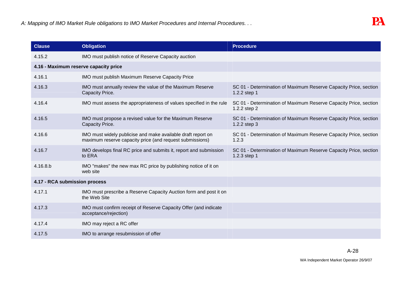| <b>Clause</b>                         | <b>Obligation</b>                                                                                                        | <b>Procedure</b>                                                                 |
|---------------------------------------|--------------------------------------------------------------------------------------------------------------------------|----------------------------------------------------------------------------------|
| 4.15.2                                | IMO must publish notice of Reserve Capacity auction                                                                      |                                                                                  |
| 4.16 - Maximum reserve capacity price |                                                                                                                          |                                                                                  |
| 4.16.1                                | IMO must publish Maximum Reserve Capacity Price                                                                          |                                                                                  |
| 4.16.3                                | IMO must annually review the value of the Maximum Reserve<br>Capacity Price.                                             | SC 01 - Determination of Maximum Reserve Capacity Price, section<br>1.2.2 step 1 |
| 4.16.4                                | IMO must assess the appropriateness of values specified in the rule                                                      | SC 01 - Determination of Maximum Reserve Capacity Price, section<br>1.2.2 step 2 |
| 4.16.5                                | IMO must propose a revised value for the Maximum Reserve<br>Capacity Price.                                              | SC 01 - Determination of Maximum Reserve Capacity Price, section<br>1.2.2 step 3 |
| 4.16.6                                | IMO must widely publicise and make available draft report on<br>maximum reserve capacity price (and request submissions) | SC 01 - Determination of Maximum Reserve Capacity Price, section<br>1.2.3        |
| 4.16.7                                | IMO develops final RC price and submits it, report and submission<br>to ERA                                              | SC 01 - Determination of Maximum Reserve Capacity Price, section<br>1.2.3 step 1 |
| 4.16.8.b                              | IMO "makes" the new max RC price by publishing notice of it on<br>web site                                               |                                                                                  |
| 4.17 - RCA submission process         |                                                                                                                          |                                                                                  |
| 4.17.1                                | IMO must prescribe a Reserve Capacity Auction form and post it on<br>the Web Site                                        |                                                                                  |
| 4.17.3                                | IMO must confirm receipt of Reserve Capacity Offer (and indicate<br>acceptance/rejection)                                |                                                                                  |
| 4.17.4                                | IMO may reject a RC offer                                                                                                |                                                                                  |
| 4.17.5                                | IMO to arrange resubmission of offer                                                                                     |                                                                                  |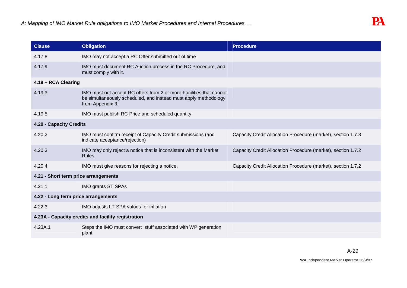| <b>Clause</b>                        | <b>Obligation</b>                                                                                                                                          | <b>Procedure</b>                                             |
|--------------------------------------|------------------------------------------------------------------------------------------------------------------------------------------------------------|--------------------------------------------------------------|
| 4.17.8                               | IMO may not accept a RC Offer submitted out of time                                                                                                        |                                                              |
| 4.17.9                               | IMO must document RC Auction process in the RC Procedure, and<br>must comply with it.                                                                      |                                                              |
| 4.19 - RCA Clearing                  |                                                                                                                                                            |                                                              |
| 4.19.3                               | IMO must not accept RC offers from 2 or more Facilities that cannot<br>be simultaneously scheduled, and instead must apply methodology<br>from Appendix 3. |                                                              |
| 4.19.5                               | IMO must publish RC Price and scheduled quantity                                                                                                           |                                                              |
| 4.20 - Capacity Credits              |                                                                                                                                                            |                                                              |
| 4.20.2                               | IMO must confirm receipt of Capacity Credit submissions (and<br>indicate acceptance/rejection)                                                             | Capacity Credit Allocation Procedure (market), section 1.7.3 |
| 4.20.3                               | IMO may only reject a notice that is inconsistent with the Market<br><b>Rules</b>                                                                          | Capacity Credit Allocation Procedure (market), section 1.7.2 |
| 4.20.4                               | IMO must give reasons for rejecting a notice.                                                                                                              | Capacity Credit Allocation Procedure (market), section 1.7.2 |
| 4.21 - Short term price arrangements |                                                                                                                                                            |                                                              |
| 4.21.1                               | IMO grants ST SPAs                                                                                                                                         |                                                              |
| 4.22 - Long term price arrangements  |                                                                                                                                                            |                                                              |
| 4.22.3                               | IMO adjusts LT SPA values for inflation                                                                                                                    |                                                              |
|                                      | 4.23A - Capacity credits and facility registration                                                                                                         |                                                              |
| 4.23A.1                              | Steps the IMO must convert stuff associated with WP generation<br>plant                                                                                    |                                                              |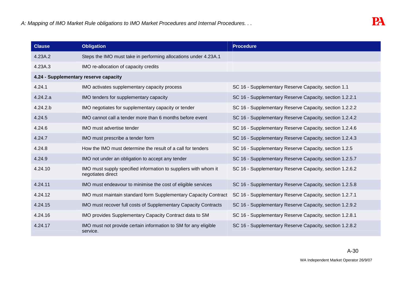| <b>Clause</b>                         | <b>Obligation</b>                                                                    | <b>Procedure</b>                                        |
|---------------------------------------|--------------------------------------------------------------------------------------|---------------------------------------------------------|
| 4.23A.2                               | Steps the IMO must take in performing allocations under 4.23A.1                      |                                                         |
| 4.23A.3                               | IMO re-allocation of capacity credits                                                |                                                         |
| 4.24 - Supplementary reserve capacity |                                                                                      |                                                         |
| 4.24.1                                | IMO activates supplementary capacity process                                         | SC 16 - Supplementary Reserve Capacity, section 1.1     |
| 4.24.2.a                              | IMO tenders for supplementary capacity                                               | SC 16 - Supplementary Reserve Capacity, section 1.2.2.1 |
| 4.24.2.b                              | IMO negotiates for supplementary capacity or tender                                  | SC 16 - Supplementary Reserve Capacity, section 1.2.2.2 |
| 4.24.5                                | IMO cannot call a tender more than 6 months before event                             | SC 16 - Supplementary Reserve Capacity, section 1.2.4.2 |
| 4.24.6                                | IMO must advertise tender                                                            | SC 16 - Supplementary Reserve Capacity, section 1.2.4.6 |
| 4.24.7                                | IMO must prescribe a tender form                                                     | SC 16 - Supplementary Reserve Capacity, section 1.2.4.3 |
| 4.24.8                                | How the IMO must determine the result of a call for tenders                          | SC 16 - Supplementary Reserve Capacity, section 1.2.5   |
| 4.24.9                                | IMO not under an obligation to accept any tender                                     | SC 16 - Supplementary Reserve Capacity, section 1.2.5.7 |
| 4.24.10                               | IMO must supply specified information to suppliers with whom it<br>negotiates direct | SC 16 - Supplementary Reserve Capacity, section 1.2.6.2 |
| 4.24.11                               | IMO must endeavour to minimise the cost of eligible services                         | SC 16 - Supplementary Reserve Capacity, section 1.2.5.8 |
| 4.24.12                               | IMO must maintain standard form Supplementary Capacity Contract                      | SC 16 - Supplementary Reserve Capacity, section 1.2.7.1 |
| 4.24.15                               | IMO must recover full costs of Supplementary Capacity Contracts                      | SC 16 - Supplementary Reserve Capacity, section 1.2.9.2 |
| 4.24.16                               | IMO provides Supplementary Capacity Contract data to SM                              | SC 16 - Supplementary Reserve Capacity, section 1.2.8.1 |
| 4.24.17                               | IMO must not provide certain information to SM for any eligible<br>service.          | SC 16 - Supplementary Reserve Capacity, section 1.2.8.2 |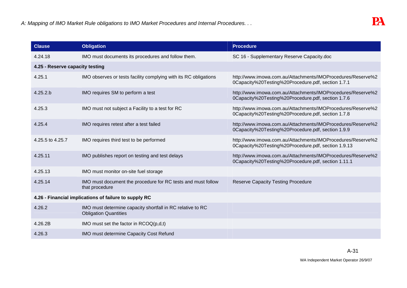| <b>Clause</b>                   | <b>Obligation</b>                                                                          | <b>Procedure</b>                                                                                                   |
|---------------------------------|--------------------------------------------------------------------------------------------|--------------------------------------------------------------------------------------------------------------------|
| 4.24.18                         | IMO must documents its procedures and follow them.                                         | SC 16 - Supplementary Reserve Capacity.doc                                                                         |
| 4.25 - Reserve capacity testing |                                                                                            |                                                                                                                    |
| 4.25.1                          | IMO observes or tests facility complying with its RC obligations                           | http://www.imowa.com.au/Attachments/IMOProcedures/Reserve%2<br>0Capacity%20Testing%20Procedure.pdf, section 1.7.1  |
| 4.25.2.b                        | IMO requires SM to perform a test                                                          | http://www.imowa.com.au/Attachments/IMOProcedures/Reserve%2<br>0Capacity%20Testing%20Procedure.pdf, section 1.7.6  |
| 4.25.3                          | IMO must not subject a Facility to a test for RC                                           | http://www.imowa.com.au/Attachments/IMOProcedures/Reserve%2<br>0Capacity%20Testing%20Procedure.pdf, section 1.7.8  |
| 4.25.4                          | IMO requires retest after a test failed                                                    | http://www.imowa.com.au/Attachments/IMOProcedures/Reserve%2<br>0Capacity%20Testing%20Procedure.pdf, section 1.9.9  |
| 4.25.5 to 4.25.7                | IMO requires third test to be performed                                                    | http://www.imowa.com.au/Attachments/IMOProcedures/Reserve%2<br>0Capacity%20Testing%20Procedure.pdf, section 1.9.13 |
| 4.25.11                         | IMO publishes report on testing and test delays                                            | http://www.imowa.com.au/Attachments/IMOProcedures/Reserve%2<br>0Capacity%20Testing%20Procedure.pdf, section 1.11.1 |
| 4.25.13                         | IMO must monitor on-site fuel storage                                                      |                                                                                                                    |
| 4.25.14                         | IMO must document the procedure for RC tests and must follow<br>that procedure             | <b>Reserve Capacity Testing Procedure</b>                                                                          |
|                                 | 4.26 - Financial implications of failure to supply RC                                      |                                                                                                                    |
| 4.26.2                          | IMO must determine capacity shortfall in RC relative to RC<br><b>Obligation Quantities</b> |                                                                                                                    |
| 4.26.2B                         | IMO must set the factor in $RCOQ(p,d,t)$                                                   |                                                                                                                    |
| 4.26.3                          | IMO must determine Capacity Cost Refund                                                    |                                                                                                                    |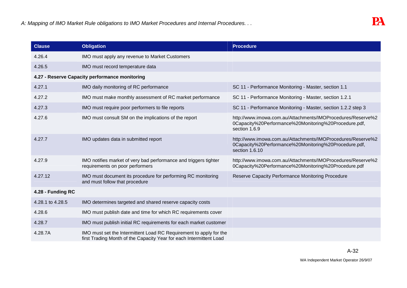| <b>Clause</b>     | <b>Obligation</b>                                                                                                                         | <b>Procedure</b>                                                                                                                       |
|-------------------|-------------------------------------------------------------------------------------------------------------------------------------------|----------------------------------------------------------------------------------------------------------------------------------------|
| 4.26.4            | IMO must apply any revenue to Market Customers                                                                                            |                                                                                                                                        |
| 4.26.5            | IMO must record temperature data                                                                                                          |                                                                                                                                        |
|                   | 4.27 - Reserve Capacity performance monitoring                                                                                            |                                                                                                                                        |
| 4.27.1            | IMO daily monitoring of RC performance                                                                                                    | SC 11 - Performance Monitoring - Master, section 1.1                                                                                   |
| 4.27.2            | IMO must make monthly assessment of RC market performance                                                                                 | SC 11 - Performance Monitoring - Master, section 1.2.1                                                                                 |
| 4.27.3            | IMO must require poor performers to file reports                                                                                          | SC 11 - Performance Monitoring - Master, section 1.2.2 step 3                                                                          |
| 4.27.6            | IMO must consult SM on the implications of the report                                                                                     | http://www.imowa.com.au/Attachments/IMOProcedures/Reserve%2<br>0Capacity%20Performance%20Monitoring%20Procedure.pdf,<br>section 1.6.9  |
| 4.27.7            | IMO updates data in submitted report                                                                                                      | http://www.imowa.com.au/Attachments/IMOProcedures/Reserve%2<br>0Capacity%20Performance%20Monitoring%20Procedure.pdf,<br>section 1.6.10 |
| 4.27.9            | IMO notifies market of very bad performance and triggers tighter<br>requirements on poor performers                                       | http://www.imowa.com.au/Attachments/IMOProcedures/Reserve%2<br>0Capacity%20Performance%20Monitoring%20Procedure.pdf                    |
| 4.27.12           | IMO must document its procedure for performing RC monitoring<br>and must follow that procedure                                            | Reserve Capacity Performance Monitoring Procedure                                                                                      |
| 4.28 - Funding RC |                                                                                                                                           |                                                                                                                                        |
| 4.28.1 to 4.28.5  | IMO determines targeted and shared reserve capacity costs                                                                                 |                                                                                                                                        |
| 4.28.6            | IMO must publish date and time for which RC requirements cover                                                                            |                                                                                                                                        |
| 4.28.7            | IMO must publish initial RC requirements for each market customer                                                                         |                                                                                                                                        |
| 4.28.7A           | IMO must set the Intermittent Load RC Requirement to apply for the<br>first Trading Month of the Capacity Year for each Intermittent Load |                                                                                                                                        |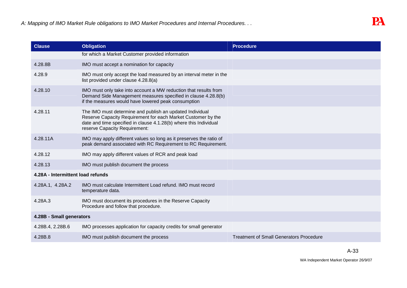| <b>Clause</b>                     | <b>Obligation</b>                                                                                                                                                                                                              | <b>Procedure</b>                               |
|-----------------------------------|--------------------------------------------------------------------------------------------------------------------------------------------------------------------------------------------------------------------------------|------------------------------------------------|
|                                   | for which a Market Customer provided information                                                                                                                                                                               |                                                |
| 4.28.8B                           | IMO must accept a nomination for capacity                                                                                                                                                                                      |                                                |
| 4.28.9                            | IMO must only accept the load measured by an interval meter in the<br>list provided under clause 4.28.8(a)                                                                                                                     |                                                |
| 4.28.10                           | IMO must only take into account a MW reduction that results from<br>Demand Side Management measures specified in clause 4.28.8(b)<br>if the measures would have lowered peak consumption                                       |                                                |
| 4.28.11                           | The IMO must determine and publish an updated Individual<br>Reserve Capacity Requirement for each Market Customer by the<br>date and time specified in clause 4.1.28(b) where this Individual<br>reserve Capacity Requirement: |                                                |
| 4.28.11A                          | IMO may apply different values so long as it preserves the ratio of<br>peak demand associated with RC Requirement to RC Requirement.                                                                                           |                                                |
| 4.28.12                           | IMO may apply different values of RCR and peak load                                                                                                                                                                            |                                                |
| 4.28.13                           | IMO must publish document the process                                                                                                                                                                                          |                                                |
| 4.28A - Intermittent load refunds |                                                                                                                                                                                                                                |                                                |
| 4.28A.1, 4.28A.2                  | IMO must calculate Intermittent Load refund. IMO must record<br>temperature data.                                                                                                                                              |                                                |
| 4.28A.3                           | IMO must document its procedures in the Reserve Capacity<br>Procedure and follow that procedure.                                                                                                                               |                                                |
| 4.28B - Small generators          |                                                                                                                                                                                                                                |                                                |
| 4.28B.4, 2.28B.6                  | IMO processes application for capacity credits for small generator                                                                                                                                                             |                                                |
| 4.28B.8                           | IMO must publish document the process                                                                                                                                                                                          | <b>Treatment of Small Generators Procedure</b> |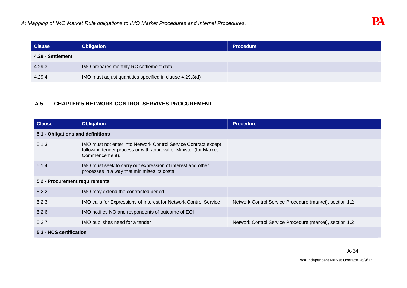| <b>Clause</b>     | <b>Obligation</b>                                        | <b>Procedure</b> |
|-------------------|----------------------------------------------------------|------------------|
| 4.29 - Settlement |                                                          |                  |
| 4.29.3            | IMO prepares monthly RC settlement data                  |                  |
| 4.29.4            | IMO must adjust quantities specified in clause 4.29.3(d) |                  |

# **A.5 CHAPTER 5 NETWORK CONTROL SERVIVES PROCUREMENT**

| <b>Clause</b>                  | <b>Obligation</b>                                                                                                                                      | <b>Procedure</b>                                        |  |
|--------------------------------|--------------------------------------------------------------------------------------------------------------------------------------------------------|---------------------------------------------------------|--|
|                                | 5.1 - Obligations and definitions                                                                                                                      |                                                         |  |
| 5.1.3                          | IMO must not enter into Network Control Service Contract except<br>following tender process or with approval of Minister (for Market<br>Commencement). |                                                         |  |
| 5.1.4                          | IMO must seek to carry out expression of interest and other<br>processes in a way that minimises its costs                                             |                                                         |  |
| 5.2 - Procurement requirements |                                                                                                                                                        |                                                         |  |
| 5.2.2                          | IMO may extend the contracted period                                                                                                                   |                                                         |  |
| 5.2.3                          | IMO calls for Expressions of Interest for Network Control Service                                                                                      | Network Control Service Procedure (market), section 1.2 |  |
| 5.2.6                          | IMO notifies NO and respondents of outcome of EOI                                                                                                      |                                                         |  |
| 5.2.7                          | IMO publishes need for a tender                                                                                                                        | Network Control Service Procedure (market), section 1.2 |  |
| 5.3 - NCS certification        |                                                                                                                                                        |                                                         |  |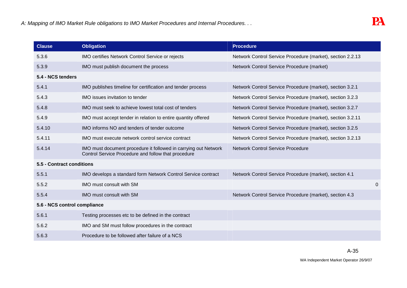| <b>Clause</b>                | <b>Obligation</b>                                                                                                      | <b>Procedure</b>                                           |                |
|------------------------------|------------------------------------------------------------------------------------------------------------------------|------------------------------------------------------------|----------------|
| 5.3.6                        | IMO certifies Network Control Service or rejects                                                                       | Network Control Service Procedure (market), section 2.2.13 |                |
| 5.3.9                        | IMO must publish document the process                                                                                  | Network Control Service Procedure (market)                 |                |
| 5.4 - NCS tenders            |                                                                                                                        |                                                            |                |
| 5.4.1                        | IMO publishes timeline for certification and tender process                                                            | Network Control Service Procedure (market), section 3.2.1  |                |
| 5.4.3                        | <b>IMO</b> issues invitation to tender                                                                                 | Network Control Service Procedure (market), section 3.2.3  |                |
| 5.4.8                        | IMO must seek to achieve lowest total cost of tenders                                                                  | Network Control Service Procedure (market), section 3.2.7  |                |
| 5.4.9                        | IMO must accept tender in relation to entire quantity offered                                                          | Network Control Service Procedure (market), section 3.2.11 |                |
| 5.4.10                       | IMO informs NO and tenders of tender outcome                                                                           | Network Control Service Procedure (market), section 3.2.5  |                |
| 5.4.11                       | IMO must execute network control service contract                                                                      | Network Control Service Procedure (market), section 3.2.13 |                |
| 5.4.14                       | IMO must document procedure it followed in carrying out Network<br>Control Service Procedure and follow that procedure | <b>Network Control Service Procedure</b>                   |                |
| 5.5 - Contract conditions    |                                                                                                                        |                                                            |                |
| 5.5.1                        | IMO develops a standard form Network Control Service contract                                                          | Network Control Service Procedure (market), section 4.1    |                |
| 5.5.2                        | IMO must consult with SM                                                                                               |                                                            | $\overline{0}$ |
| 5.5.4                        | IMO must consult with SM                                                                                               | Network Control Service Procedure (market), section 4.3    |                |
| 5.6 - NCS control compliance |                                                                                                                        |                                                            |                |
| 5.6.1                        | Testing processes etc to be defined in the contract                                                                    |                                                            |                |
| 5.6.2                        | IMO and SM must follow procedures in the contract                                                                      |                                                            |                |
| 5.6.3                        | Procedure to be followed after failure of a NCS                                                                        |                                                            |                |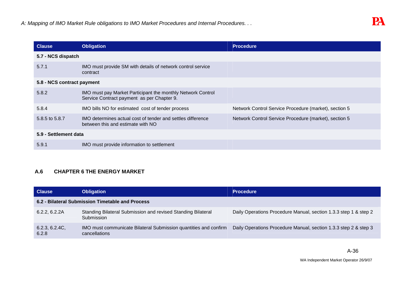| <b>Clause</b>              | <b>Obligation</b>                                                                                         | <b>Procedure</b>                                      |  |
|----------------------------|-----------------------------------------------------------------------------------------------------------|-------------------------------------------------------|--|
| 5.7 - NCS dispatch         |                                                                                                           |                                                       |  |
| 5.7.1                      | IMO must provide SM with details of network control service<br>contract                                   |                                                       |  |
| 5.8 - NCS contract payment |                                                                                                           |                                                       |  |
| 5.8.2                      | IMO must pay Market Participant the monthly Network Control<br>Service Contract payment as per Chapter 9. |                                                       |  |
| 5.8.4                      | IMO bills NO for estimated cost of tender process                                                         | Network Control Service Procedure (market), section 5 |  |
| 5.8.5 to 5.8.7             | IMO determines actual cost of tender and settles difference<br>between this and estimate with NO          | Network Control Service Procedure (market), section 5 |  |
| 5.9 - Settlement data      |                                                                                                           |                                                       |  |
| 5.9.1                      | IMO must provide information to settlement                                                                |                                                       |  |

# **A.6 CHAPTER 6 THE ENERGY MARKET**

| <b>Clause</b>           | <b>Obligation</b>                                                                 | <b>Procedure</b>                                                 |
|-------------------------|-----------------------------------------------------------------------------------|------------------------------------------------------------------|
|                         | 6.2 - Bilateral Submission Timetable and Process                                  |                                                                  |
| 6.2.2, 6.2.2A           | Standing Bilateral Submission and revised Standing Bilateral<br>Submission        | Daily Operations Procedure Manual, section 1.3.3 step 1 & step 2 |
| 6.2.3, 6.2.4C,<br>6.2.8 | IMO must communicate Bilateral Submission quantities and confirm<br>cancellations | Daily Operations Procedure Manual, section 1.3.3 step 2 & step 3 |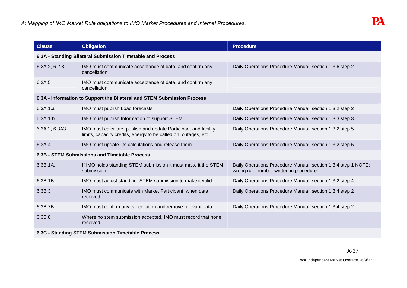| <b>Clause</b>                                              | <b>Obligation</b>                                                                                                                 | <b>Procedure</b>                                                                                        |  |
|------------------------------------------------------------|-----------------------------------------------------------------------------------------------------------------------------------|---------------------------------------------------------------------------------------------------------|--|
| 6.2A - Standing Bilateral Submission Timetable and Process |                                                                                                                                   |                                                                                                         |  |
| 6.2A.2, 6.2.8                                              | IMO must communicate acceptance of data, and confirm any<br>cancellation                                                          | Daily Operations Procedure Manual, section 1.3.6 step 2                                                 |  |
| 6.2A.5                                                     | IMO must communicate acceptance of data, and confirm any<br>cancellation                                                          |                                                                                                         |  |
|                                                            | 6.3A - Information to Support the Bilateral and STEM Submission Process                                                           |                                                                                                         |  |
| 6.3A.1.a                                                   | IMO must publish Load forecasts                                                                                                   | Daily Operations Procedure Manual, section 1.3.2 step 2                                                 |  |
| 6.3A.1.b                                                   | IMO must publish Information to support STEM                                                                                      | Daily Operations Procedure Manual, section 1.3.3 step 3                                                 |  |
| 6.3A.2, 6.3A3                                              | IMO must calculate, publish and update Participant and facility<br>limits, capacity credits, energy to be called on, outages, etc | Daily Operations Procedure Manual, section 1.3.2 step 5                                                 |  |
| 6.3A.4                                                     | IMO must update its calculations and release them                                                                                 | Daily Operations Procedure Manual, section 1.3.2 step 5                                                 |  |
|                                                            | 6.3B - STEM Submissions and Timetable Process                                                                                     |                                                                                                         |  |
| 6.3B.1A,                                                   | If IMO holds standing STEM submission it must make it the STEM<br>submission.                                                     | Daily Operations Procedure Manual, section 1.3.4 step 1 NOTE:<br>wrong rule number written in procedure |  |
| 6.3B.1B                                                    | IMO must adjust standing STEM submission to make it valid.                                                                        | Daily Operations Procedure Manual, section 1.3.2 step 4                                                 |  |
| 6.3B.3                                                     | IMO must communicate with Market Participant when data<br>received                                                                | Daily Operations Procedure Manual, section 1.3.4 step 2                                                 |  |
| 6.3B.7B                                                    | IMO must confirm any cancellation and remove relevant data                                                                        | Daily Operations Procedure Manual, section 1.3.4 step 2                                                 |  |
| 6.3B.8                                                     | Where no stem submission accepted, IMO must record that none<br>received                                                          |                                                                                                         |  |
| 6.3C - Standing STEM Submission Timetable Process          |                                                                                                                                   |                                                                                                         |  |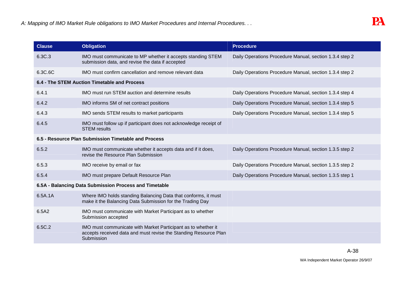| <b>Clause</b>                                        | <b>Obligation</b>                                                                                                                               | <b>Procedure</b>                                        |
|------------------------------------------------------|-------------------------------------------------------------------------------------------------------------------------------------------------|---------------------------------------------------------|
| 6.3C.3                                               | IMO must communicate to MP whether it accepts standing STEM<br>submission data, and revise the data if accepted                                 | Daily Operations Procedure Manual, section 1.3.4 step 2 |
| 6.3C.6C                                              | IMO must confirm cancellation and remove relevant data                                                                                          | Daily Operations Procedure Manual, section 1.3.4 step 2 |
|                                                      | 6.4 - The STEM Auction Timetable and Process                                                                                                    |                                                         |
| 6.4.1                                                | IMO must run STEM auction and determine results                                                                                                 | Daily Operations Procedure Manual, section 1.3.4 step 4 |
| 6.4.2                                                | IMO informs SM of net contract positions                                                                                                        | Daily Operations Procedure Manual, section 1.3.4 step 5 |
| 6.4.3                                                | IMO sends STEM results to market participants                                                                                                   | Daily Operations Procedure Manual, section 1.3.4 step 5 |
| 6.4.5                                                | IMO must follow up if participant does not acknowledge receipt of<br><b>STEM</b> results                                                        |                                                         |
| 6.5 - Resource Plan Submission Timetable and Process |                                                                                                                                                 |                                                         |
| 6.5.2                                                | IMO must communicate whether it accepts data and if it does,<br>revise the Resource Plan Submission                                             | Daily Operations Procedure Manual, section 1.3.5 step 2 |
| 6.5.3                                                | IMO receive by email or fax                                                                                                                     | Daily Operations Procedure Manual, section 1.3.5 step 2 |
| 6.5.4                                                | IMO must prepare Default Resource Plan                                                                                                          | Daily Operations Procedure Manual, section 1.3.5 step 1 |
|                                                      | 6.5A - Balancing Data Submission Process and Timetable                                                                                          |                                                         |
| 6.5A.1A                                              | Where IMO holds standing Balancing Data that conforms, it must<br>make it the Balancing Data Submission for the Trading Day                     |                                                         |
| 6.5A2                                                | IMO must communicate with Market Participant as to whether<br>Submission accepted                                                               |                                                         |
| 6.5C.2                                               | IMO must communicate with Market Participant as to whether it<br>accepts received data and must revise the Standing Resource Plan<br>Submission |                                                         |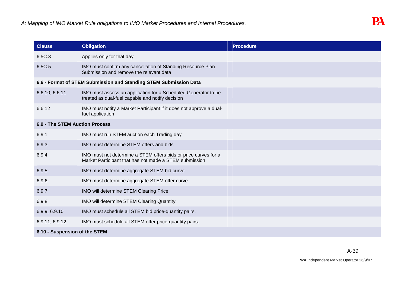| <b>Clause</b>                  | <b>Obligation</b>                                                                                                         | <b>Procedure</b> |
|--------------------------------|---------------------------------------------------------------------------------------------------------------------------|------------------|
| 6.5C.3                         | Applies only for that day                                                                                                 |                  |
| 6.5C.5                         | IMO must confirm any cancellation of Standing Resource Plan<br>Submission and remove the relevant data                    |                  |
|                                | 6.6 - Format of STEM Submission and Standing STEM Submission Data                                                         |                  |
| 6.6.10, 6.6.11                 | IMO must assess an application for a Scheduled Generator to be<br>treated as dual-fuel capable and notify decision        |                  |
| 6.6.12                         | IMO must notify a Market Participant if it does not approve a dual-<br>fuel application                                   |                  |
| 6.9 - The STEM Auction Process |                                                                                                                           |                  |
| 6.9.1                          | IMO must run STEM auction each Trading day                                                                                |                  |
| 6.9.3                          | IMO must determine STEM offers and bids                                                                                   |                  |
| 6.9.4                          | IMO must not determine a STEM offers bids or price curves for a<br>Market Participant that has not made a STEM submission |                  |
| 6.9.5                          | IMO must determine aggregate STEM bid curve                                                                               |                  |
| 6.9.6                          | IMO must determine aggregate STEM offer curve                                                                             |                  |
| 6.9.7                          | IMO will determine STEM Clearing Price                                                                                    |                  |
| 6.9.8                          | IMO will determine STEM Clearing Quantity                                                                                 |                  |
| 6.9.9, 6.9.10                  | IMO must schedule all STEM bid price-quantity pairs.                                                                      |                  |
| 6.9.11, 6.9.12                 | IMO must schedule all STEM offer price-quantity pairs.                                                                    |                  |
| 6.10 - Suspension of the STEM  |                                                                                                                           |                  |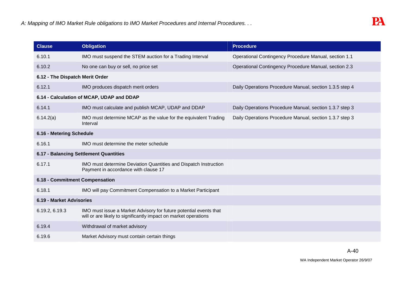| <b>Clause</b>                          | <b>Obligation</b>                                                                                                                    | <b>Procedure</b>                                        |
|----------------------------------------|--------------------------------------------------------------------------------------------------------------------------------------|---------------------------------------------------------|
| 6.10.1                                 | IMO must suspend the STEM auction for a Trading Interval                                                                             | Operational Contingency Procedure Manual, section 1.1   |
| 6.10.2                                 | No one can buy or sell, no price set                                                                                                 | Operational Contingency Procedure Manual, section 2.3   |
| 6.12 - The Dispatch Merit Order        |                                                                                                                                      |                                                         |
| 6.12.1                                 | IMO produces dispatch merit orders                                                                                                   | Daily Operations Procedure Manual, section 1.3.5 step 4 |
|                                        | 6.14 - Calculation of MCAP, UDAP and DDAP                                                                                            |                                                         |
| 6.14.1                                 | IMO must calculate and publish MCAP, UDAP and DDAP                                                                                   | Daily Operations Procedure Manual, section 1.3.7 step 3 |
| 6.14.2(a)                              | IMO must determine MCAP as the value for the equivalent Trading<br>Interval                                                          | Daily Operations Procedure Manual, section 1.3.7 step 3 |
| 6.16 - Metering Schedule               |                                                                                                                                      |                                                         |
| 6.16.1                                 | IMO must determine the meter schedule                                                                                                |                                                         |
| 6.17 - Balancing Settlement Quantities |                                                                                                                                      |                                                         |
| 6.17.1                                 | IMO must determine Deviation Quantities and Dispatch Instruction<br>Payment in accordance with clause 17                             |                                                         |
| 6.18 - Commitment Compensation         |                                                                                                                                      |                                                         |
| 6.18.1                                 | IMO will pay Commitment Compensation to a Market Participant                                                                         |                                                         |
| 6.19 - Market Advisories               |                                                                                                                                      |                                                         |
| 6.19.2, 6.19.3                         | IMO must issue a Market Advisory for future potential events that<br>will or are likely to significantly impact on market operations |                                                         |
| 6.19.4                                 | Withdrawal of market advisory                                                                                                        |                                                         |
| 6.19.6                                 | Market Advisory must contain certain things                                                                                          |                                                         |

A-40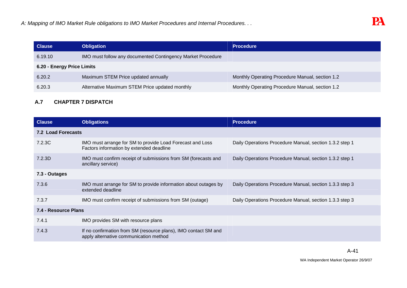| <b>Clause</b>              | <b>Obligation</b>                                           | <b>Procedure</b>                                |  |
|----------------------------|-------------------------------------------------------------|-------------------------------------------------|--|
| 6.19.10                    | IMO must follow any documented Contingency Market Procedure |                                                 |  |
| 6.20 - Energy Price Limits |                                                             |                                                 |  |
| 6.20.2                     | Maximum STEM Price updated annually                         | Monthly Operating Procedure Manual, section 1.2 |  |
| 6.20.3                     | Alternative Maximum STEM Price updated monthly              | Monthly Operating Procedure Manual, section 1.2 |  |
|                            |                                                             |                                                 |  |

### **A.7 CHAPTER 7 DISPATCH**

| <b>Clause</b>             | <b>Obligations</b>                                                                                        | <b>Procedure</b>                                        |  |
|---------------------------|-----------------------------------------------------------------------------------------------------------|---------------------------------------------------------|--|
| <b>7.2 Load Forecasts</b> |                                                                                                           |                                                         |  |
| 7.2.3C                    | IMO must arrange for SM to provide Load Forecast and Loss<br>Factors information by extended deadline     | Daily Operations Procedure Manual, section 1.3.2 step 1 |  |
| 7.2.3D                    | IMO must confirm receipt of submissions from SM (forecasts and<br>ancillary service)                      | Daily Operations Procedure Manual, section 1.3.2 step 1 |  |
| 7.3 - Outages             |                                                                                                           |                                                         |  |
| 7.3.6                     | IMO must arrange for SM to provide information about outages by<br>extended deadline                      | Daily Operations Procedure Manual, section 1.3.3 step 3 |  |
| 7.3.7                     | IMO must confirm receipt of submissions from SM (outage)                                                  | Daily Operations Procedure Manual, section 1.3.3 step 3 |  |
| 7.4 - Resource Plans      |                                                                                                           |                                                         |  |
| 7.4.1                     | IMO provides SM with resource plans                                                                       |                                                         |  |
| 7.4.3                     | If no confirmation from SM (resource plans), IMO contact SM and<br>apply alternative communication method |                                                         |  |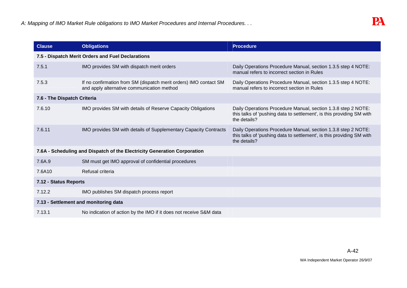| <b>Clause</b>                                     | <b>Obligations</b>                                                                                              | <b>Procedure</b>                                                                                                                                       |
|---------------------------------------------------|-----------------------------------------------------------------------------------------------------------------|--------------------------------------------------------------------------------------------------------------------------------------------------------|
| 7.5 - Dispatch Merit Orders and Fuel Declarations |                                                                                                                 |                                                                                                                                                        |
| 7.5.1                                             | IMO provides SM with dispatch merit orders                                                                      | Daily Operations Procedure Manual, section 1.3.5 step 4 NOTE:<br>manual refers to incorrect section in Rules                                           |
| 7.5.3                                             | If no confirmation from SM (dispatch merit orders) IMO contact SM<br>and apply alternative communication method | Daily Operations Procedure Manual, section 1.3.5 step 4 NOTE:<br>manual refers to incorrect section in Rules                                           |
| 7.6 - The Dispatch Criteria                       |                                                                                                                 |                                                                                                                                                        |
| 7.6.10                                            | IMO provides SM with details of Reserve Capacity Obligations                                                    | Daily Operations Procedure Manual, section 1.3.8 step 2 NOTE:<br>this talks of 'pushing data to settlement', is this providing SM with<br>the details? |
| 7.6.11                                            | IMO provides SM with details of Supplementary Capacity Contracts                                                | Daily Operations Procedure Manual, section 1.3.8 step 2 NOTE:<br>this talks of 'pushing data to settlement', is this providing SM with<br>the details? |
|                                                   | 7.6A - Scheduling and Dispatch of the Electricity Generation Corporation                                        |                                                                                                                                                        |
| 7.6A.9                                            | SM must get IMO approval of confidential procedures                                                             |                                                                                                                                                        |
| 7.6A10                                            | Refusal criteria                                                                                                |                                                                                                                                                        |
| 7.12 - Status Reports                             |                                                                                                                 |                                                                                                                                                        |
| 7.12.2                                            | IMO publishes SM dispatch process report                                                                        |                                                                                                                                                        |
| 7.13 - Settlement and monitoring data             |                                                                                                                 |                                                                                                                                                        |
| 7.13.1                                            | No indication of action by the IMO if it does not receive S&M data                                              |                                                                                                                                                        |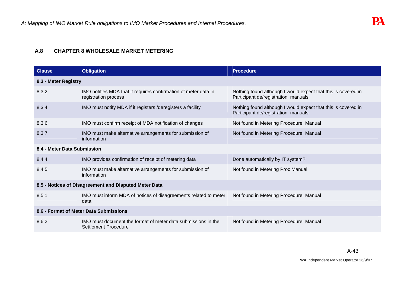### **A.8 CHAPTER 8 WHOLESALE MARKET METERING**

| <b>Clause</b>                          | <b>Obligation</b>                                                                       | <b>Procedure</b>                                                                                     |  |  |
|----------------------------------------|-----------------------------------------------------------------------------------------|------------------------------------------------------------------------------------------------------|--|--|
|                                        | 8.3 - Meter Registry                                                                    |                                                                                                      |  |  |
| 8.3.2                                  | IMO notifies MDA that it requires confirmation of meter data in<br>registration process | Nothing found although I would expect that this is covered in<br>Participant de/registration manuals |  |  |
| 8.3.4                                  | IMO must notify MDA if it registers /deregisters a facility                             | Nothing found although I would expect that this is covered in<br>Participant de/registration manuals |  |  |
| 8.3.6                                  | IMO must confirm receipt of MDA notification of changes                                 | Not found in Metering Procedure Manual                                                               |  |  |
| 8.3.7                                  | IMO must make alternative arrangements for submission of<br>information                 | Not found in Metering Procedure Manual                                                               |  |  |
| 8.4 - Meter Data Submission            |                                                                                         |                                                                                                      |  |  |
| 8.4.4                                  | IMO provides confirmation of receipt of metering data                                   | Done automatically by IT system?                                                                     |  |  |
| 8.4.5                                  | IMO must make alternative arrangements for submission of<br>information                 | Not found in Metering Proc Manual                                                                    |  |  |
|                                        | 8.5 - Notices of Disagreement and Disputed Meter Data                                   |                                                                                                      |  |  |
| 8.5.1                                  | IMO must inform MDA of notices of disagreements related to meter<br>data                | Not found in Metering Procedure Manual                                                               |  |  |
| 8.6 - Format of Meter Data Submissions |                                                                                         |                                                                                                      |  |  |
| 8.6.2                                  | IMO must document the format of meter data submissions in the<br>Settlement Procedure   | Not found in Metering Procedure Manual                                                               |  |  |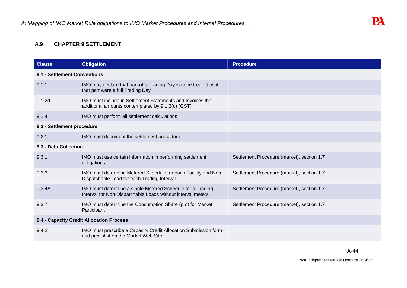#### **A.9 CHAPTER 9 SETTLEMENT**

| <b>Clause</b>                            | <b>Obligation</b>                                                                                                         | <b>Procedure</b>                           |  |
|------------------------------------------|---------------------------------------------------------------------------------------------------------------------------|--------------------------------------------|--|
| 9.1 - Settlement Conventions             |                                                                                                                           |                                            |  |
| 9.1.1                                    | IMO may declare that part of a Trading Day is to be treated as if<br>that part were a full Trading Day                    |                                            |  |
| 9.1.2 <sub>d</sub>                       | IMO must include in Settlement Statements and Invoices the<br>additional amounts contemplated by 9.1.2(c) (GST)           |                                            |  |
| 9.1.4                                    | IMO must perform all settlement calculations                                                                              |                                            |  |
| 9.2 - Settlement procedure               |                                                                                                                           |                                            |  |
| 9.2.1                                    | IMO must document the settlement procedure                                                                                |                                            |  |
| 9.3 - Data Collection                    |                                                                                                                           |                                            |  |
| 9.3.1                                    | IMO must use certain information in performing settlement<br>obligations                                                  | Settlement Procedure (market), section 1.7 |  |
| 9.3.3                                    | IMO must determine Metered Schedule for each Facility and Non-<br>Dispatchable Load for each Trading Interval.            | Settlement Procedure (market), section 1.7 |  |
| 9.3.4A                                   | IMO must determine a single Metered Schedule for a Trading<br>Interval for Non-Dispatchable Loads without interval meters | Settlement Procedure (market), section 1.7 |  |
| 9.3.7                                    | IMO must determine the Consumption Share (pm) for Market<br>Participant                                                   | Settlement Procedure (market), section 1.7 |  |
| 9.4 - Capacity Credit Allocation Process |                                                                                                                           |                                            |  |
| 9.4.2                                    | IMO must prescribe a Capacity Credit Allocation Submission form<br>and publish it on the Market Web Site                  |                                            |  |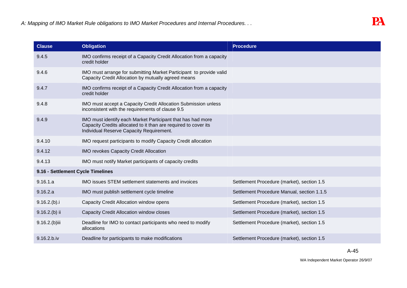| <b>Clause</b>                     | <b>Obligation</b>                                                                                                                                                          | <b>Procedure</b>                           |  |  |
|-----------------------------------|----------------------------------------------------------------------------------------------------------------------------------------------------------------------------|--------------------------------------------|--|--|
| 9.4.5                             | IMO confirms receipt of a Capacity Credit Allocation from a capacity<br>credit holder                                                                                      |                                            |  |  |
| 9.4.6                             | IMO must arrange for submitting Market Participant to provide valid<br>Capacity Credit Allocation by mutually agreed means                                                 |                                            |  |  |
| 9.4.7                             | IMO confirms receipt of a Capacity Credit Allocation from a capacity<br>credit holder                                                                                      |                                            |  |  |
| 9.4.8                             | IMO must accept a Capacity Credit Allocation Submission unless<br>inconsistent with the requirements of clause 9.5                                                         |                                            |  |  |
| 9.4.9                             | IMO must identify each Market Participant that has had more<br>Capacity Credits allocated to it than are required to cover its<br>Individual Reserve Capacity Requirement. |                                            |  |  |
| 9.4.10                            | IMO request participants to modify Capacity Credit allocation                                                                                                              |                                            |  |  |
| 9.4.12                            | <b>IMO revokes Capacity Credit Allocation</b>                                                                                                                              |                                            |  |  |
| 9.4.13                            | IMO must notify Market participants of capacity credits                                                                                                                    |                                            |  |  |
| 9.16 - Settlement Cycle Timelines |                                                                                                                                                                            |                                            |  |  |
| 9.16.1.a                          | <b>IMO</b> issues STEM settlement statements and invoices                                                                                                                  | Settlement Procedure (market), section 1.5 |  |  |
| 9.16.2.a                          | IMO must publish settlement cycle timeline                                                                                                                                 | Settlement Procedure Manual, section 1.1.5 |  |  |
| 9.16.2(b).i                       | Capacity Credit Allocation window opens                                                                                                                                    | Settlement Procedure (market), section 1.5 |  |  |
| $9.16.2(b)$ ii                    | <b>Capacity Credit Allocation window closes</b>                                                                                                                            | Settlement Procedure (market), section 1.5 |  |  |
| $9.16.2(b)$ iii                   | Deadline for IMO to contact participants who need to modify<br>allocations                                                                                                 | Settlement Procedure (market), section 1.5 |  |  |
| 9.16.2.b.iv                       | Deadline for participants to make modifications                                                                                                                            | Settlement Procedure (market), section 1.5 |  |  |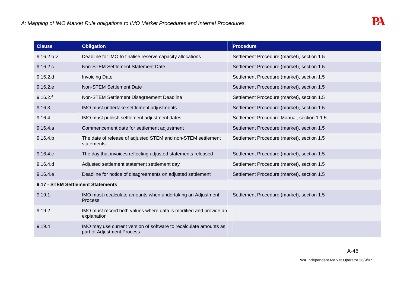| <b>Clause</b>                     | <b>Obligation</b>                                                                               | <b>Procedure</b>                           |  |  |
|-----------------------------------|-------------------------------------------------------------------------------------------------|--------------------------------------------|--|--|
| 9.16.2 b.v                        | Deadline for IMO to finalise reserve capacity allocations                                       | Settlement Procedure (market), section 1.5 |  |  |
| 9.16.2.c                          | Non-STEM Settlement Statement Date                                                              | Settlement Procedure (market), section 1.5 |  |  |
| 9.16.2.d                          | <b>Invoicing Date</b>                                                                           | Settlement Procedure (market), section 1.5 |  |  |
| 9.16.2.e                          | <b>Non-STEM Settlement Date</b>                                                                 | Settlement Procedure (market), section 1.5 |  |  |
| 9.16.2.f                          | Non-STEM Settlement Disagreement Deadline                                                       | Settlement Procedure (market), section 1.5 |  |  |
| 9.16.3                            | IMO must undertake settlement adjustments                                                       | Settlement Procedure (market), section 1.5 |  |  |
| 9.16.4                            | IMO must publish settlement adjustment dates                                                    | Settlement Procedure Manual, section 1.1.5 |  |  |
| 9.16.4.a                          | Commencement date for settlement adjustment                                                     | Settlement Procedure (market), section 1.5 |  |  |
| 9.16.4 b                          | The date of release of adjusted STEM and non-STEM settlement<br>statements                      | Settlement Procedure (market), section 1.5 |  |  |
| 9.16.4.c                          | The day that invoices reflecting adjusted statements released                                   | Settlement Procedure (market), section 1.5 |  |  |
| 9.16.4.d                          | Adjusted settlement statement settlement day                                                    | Settlement Procedure (market), section 1.5 |  |  |
| 9.16.4.e                          | Deadline for notice of disagreements on adjusted settlement                                     | Settlement Procedure (market), section 1.5 |  |  |
| 9.17 - STEM Settlement Statements |                                                                                                 |                                            |  |  |
| 9.19.1                            | IMO must recalculate amounts when undertaking an Adjustment<br><b>Process</b>                   | Settlement Procedure (market), section 1.5 |  |  |
| 9.19.2                            | IMO must record both values where data is modified and provide an<br>explanation                |                                            |  |  |
| 9.19.4                            | IMO may use current version of software to recalculate amounts as<br>part of Adjustment Process |                                            |  |  |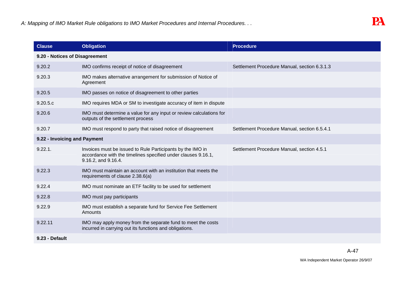| <b>Clause</b>                  | <b>Obligation</b>                                                                                                                                  | <b>Procedure</b>                             |  |  |  |
|--------------------------------|----------------------------------------------------------------------------------------------------------------------------------------------------|----------------------------------------------|--|--|--|
| 9.20 - Notices of Disagreement |                                                                                                                                                    |                                              |  |  |  |
| 9.20.2                         | IMO confirms receipt of notice of disagreement                                                                                                     | Settlement Procedure Manual, section 6.3.1.3 |  |  |  |
| 9.20.3                         | IMO makes alternative arrangement for submission of Notice of<br>Agreement                                                                         |                                              |  |  |  |
| 9.20.5                         | IMO passes on notice of disagreement to other parties                                                                                              |                                              |  |  |  |
| 9.20.5.c                       | IMO requires MDA or SM to investigate accuracy of item in dispute                                                                                  |                                              |  |  |  |
| 9.20.6                         | IMO must determine a value for any input or review calculations for<br>outputs of the settlement process                                           |                                              |  |  |  |
| 9.20.7                         | IMO must respond to party that raised notice of disagreement                                                                                       | Settlement Procedure Manual, section 6.5.4.1 |  |  |  |
| 9.22 - Invoicing and Payment   |                                                                                                                                                    |                                              |  |  |  |
| 9.22.1.                        | Invoices must be issued to Rule Participants by the IMO in<br>accordance with the timelines specified under clauses 9.16.1,<br>9.16.2, and 9.16.4. | Settlement Procedure Manual, section 4.5.1   |  |  |  |
| 9.22.3                         | IMO must maintain an account with an institution that meets the<br>requirements of clause 2.38.6(a)                                                |                                              |  |  |  |
| 9.22.4                         | IMO must nominate an ETF facility to be used for settlement                                                                                        |                                              |  |  |  |
| 9.22.8                         | IMO must pay participants                                                                                                                          |                                              |  |  |  |
| 9.22.9                         | IMO must establish a separate fund for Service Fee Settlement<br>Amounts                                                                           |                                              |  |  |  |
| 9.22.11                        | IMO may apply money from the separate fund to meet the costs<br>incurred in carrying out its functions and obligations.                            |                                              |  |  |  |
| 9.23 - Default                 |                                                                                                                                                    |                                              |  |  |  |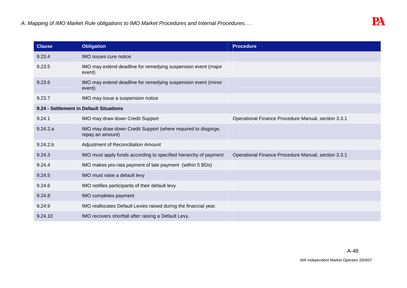| <b>Clause</b>                           | <b>Obligation</b>                                                                 | <b>Procedure</b>                                    |  |  |
|-----------------------------------------|-----------------------------------------------------------------------------------|-----------------------------------------------------|--|--|
| 9.23.4                                  | IMO issues cure notice                                                            |                                                     |  |  |
| 9.23.5                                  | IMO may extend deadline for remedying suspension event (major<br>event)           |                                                     |  |  |
| 9.23.6                                  | IMO may extend deadline for remedying suspension event (minor<br>event)           |                                                     |  |  |
| 9.23.7                                  | IMO may issue a suspension notice                                                 |                                                     |  |  |
| 9.24 - Settlement in Default Situations |                                                                                   |                                                     |  |  |
| 9.24.1                                  | IMO may draw down Credit Support                                                  | Operational Finance Procedure Manual, section 3.3.1 |  |  |
| 9.24.2.a                                | IMO may draw down Credit Support (where required to disgorge,<br>repay an amount) |                                                     |  |  |
| 9.24.2 b                                | Adjustment of Reconciliation Amount                                               |                                                     |  |  |
| 9.24.3                                  | IMO must apply funds according to specified hierarchy of payment                  | Operational Finance Procedure Manual, section 3.3.1 |  |  |
| 9.24.4                                  | IMO makes pro-rata payment of late payment (within 5 BDs)                         |                                                     |  |  |
| 9.24.5                                  | IMO must raise a default levy                                                     |                                                     |  |  |
| 9.24.6                                  | IMO notifies participants of their default levy                                   |                                                     |  |  |
| 9.24.8                                  | IMO completes payment                                                             |                                                     |  |  |
| 9.24.9                                  | IMO reallocates Default Levies raised during the financial year.                  |                                                     |  |  |
| 9.24.10                                 | IMO recovers shortfall after raising a Default Levy.                              |                                                     |  |  |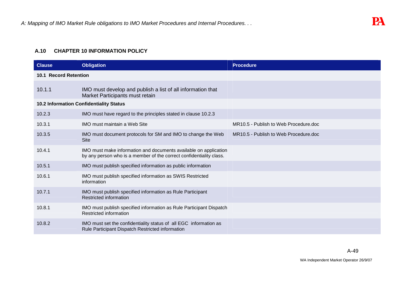## **A.10 CHAPTER 10 INFORMATION POLICY**

| <b>Clause</b>                                  | <b>Obligation</b>                                                                                                                       | <b>Procedure</b>                      |
|------------------------------------------------|-----------------------------------------------------------------------------------------------------------------------------------------|---------------------------------------|
| <b>10.1 Record Retention</b>                   |                                                                                                                                         |                                       |
| 10.1.1                                         | IMO must develop and publish a list of all information that<br>Market Participants must retain                                          |                                       |
| <b>10.2 Information Confidentiality Status</b> |                                                                                                                                         |                                       |
| 10.2.3                                         | IMO must have regard to the principles stated in clause 10.2.3                                                                          |                                       |
| 10.3.1                                         | <b>IMO</b> must maintain a Web Site                                                                                                     | MR10.5 - Publish to Web Procedure.doc |
| 10.3.5                                         | IMO must document protocols for SM and IMO to change the Web<br><b>Site</b>                                                             | MR10.5 - Publish to Web Procedure.doc |
| 10.4.1                                         | IMO must make information and documents available on application<br>by any person who is a member of the correct confidentiality class. |                                       |
| 10.5.1                                         | IMO must publish specified information as public information                                                                            |                                       |
| 10.6.1                                         | IMO must publish specified information as SWIS Restricted<br>information                                                                |                                       |
| 10.7.1                                         | IMO must publish specified information as Rule Participant<br>Restricted information                                                    |                                       |
| 10.8.1                                         | IMO must publish specified information as Rule Participant Dispatch<br>Restricted information                                           |                                       |
| 10.8.2                                         | IMO must set the confidentiality status of all EGC information as<br>Rule Participant Dispatch Restricted information                   |                                       |